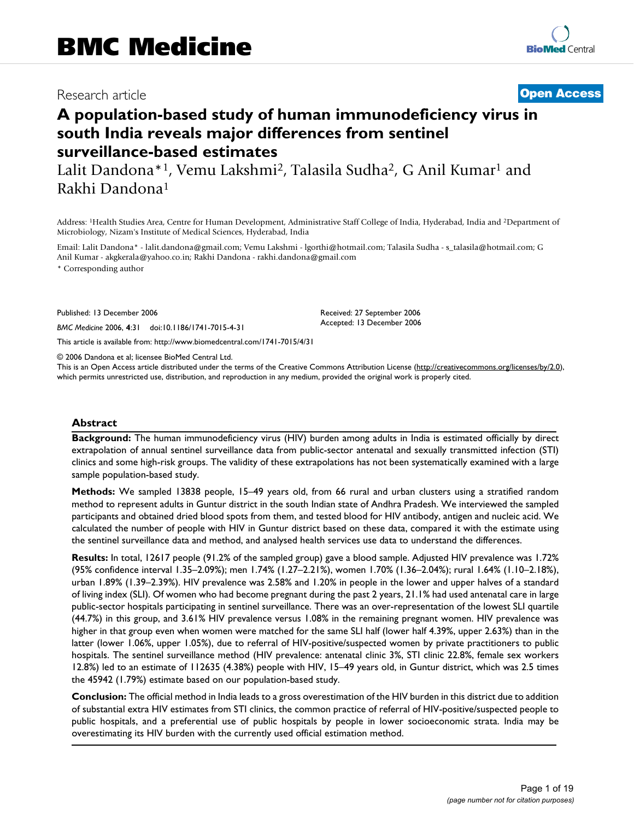# Research article **[Open Access](http://www.biomedcentral.com/info/about/charter/)**

# **A population-based study of human immunodeficiency virus in south India reveals major differences from sentinel surveillance-based estimates**

Lalit Dandona\*1, Vemu Lakshmi<sup>2</sup>, Talasila Sudha<sup>2</sup>, G Anil Kumar<sup>1</sup> and Rakhi Dandona1

Address: 1Health Studies Area, Centre for Human Development, Administrative Staff College of India, Hyderabad, India and 2Department of Microbiology, Nizam's Institute of Medical Sciences, Hyderabad, India

Email: Lalit Dandona\* - lalit.dandona@gmail.com; Vemu Lakshmi - lgorthi@hotmail.com; Talasila Sudha - s\_talasila@hotmail.com; G Anil Kumar - akgkerala@yahoo.co.in; Rakhi Dandona - rakhi.dandona@gmail.com

\* Corresponding author

Published: 13 December 2006

*BMC Medicine* 2006, **4**:31 doi:10.1186/1741-7015-4-31

[This article is available from: http://www.biomedcentral.com/1741-7015/4/31](http://www.biomedcentral.com/1741-7015/4/31)

© 2006 Dandona et al; licensee BioMed Central Ltd.

This is an Open Access article distributed under the terms of the Creative Commons Attribution License [\(http://creativecommons.org/licenses/by/2.0\)](http://creativecommons.org/licenses/by/2.0), which permits unrestricted use, distribution, and reproduction in any medium, provided the original work is properly cited.

Received: 27 September 2006 Accepted: 13 December 2006

# **Abstract**

**Background:** The human immunodeficiency virus (HIV) burden among adults in India is estimated officially by direct extrapolation of annual sentinel surveillance data from public-sector antenatal and sexually transmitted infection (STI) clinics and some high-risk groups. The validity of these extrapolations has not been systematically examined with a large sample population-based study.

**Methods:** We sampled 13838 people, 15–49 years old, from 66 rural and urban clusters using a stratified random method to represent adults in Guntur district in the south Indian state of Andhra Pradesh. We interviewed the sampled participants and obtained dried blood spots from them, and tested blood for HIV antibody, antigen and nucleic acid. We calculated the number of people with HIV in Guntur district based on these data, compared it with the estimate using the sentinel surveillance data and method, and analysed health services use data to understand the differences.

**Results:** In total, 12617 people (91.2% of the sampled group) gave a blood sample. Adjusted HIV prevalence was 1.72% (95% confidence interval 1.35–2.09%); men 1.74% (1.27–2.21%), women 1.70% (1.36–2.04%); rural 1.64% (1.10–2.18%), urban 1.89% (1.39–2.39%). HIV prevalence was 2.58% and 1.20% in people in the lower and upper halves of a standard of living index (SLI). Of women who had become pregnant during the past 2 years, 21.1% had used antenatal care in large public-sector hospitals participating in sentinel surveillance. There was an over-representation of the lowest SLI quartile (44.7%) in this group, and 3.61% HIV prevalence versus 1.08% in the remaining pregnant women. HIV prevalence was higher in that group even when women were matched for the same SLI half (lower half 4.39%, upper 2.63%) than in the latter (lower 1.06%, upper 1.05%), due to referral of HIV-positive/suspected women by private practitioners to public hospitals. The sentinel surveillance method (HIV prevalence: antenatal clinic 3%, STI clinic 22.8%, female sex workers 12.8%) led to an estimate of 112635 (4.38%) people with HIV, 15–49 years old, in Guntur district, which was 2.5 times the 45942 (1.79%) estimate based on our population-based study.

**Conclusion:** The official method in India leads to a gross overestimation of the HIV burden in this district due to addition of substantial extra HIV estimates from STI clinics, the common practice of referral of HIV-positive/suspected people to public hospitals, and a preferential use of public hospitals by people in lower socioeconomic strata. India may be overestimating its HIV burden with the currently used official estimation method.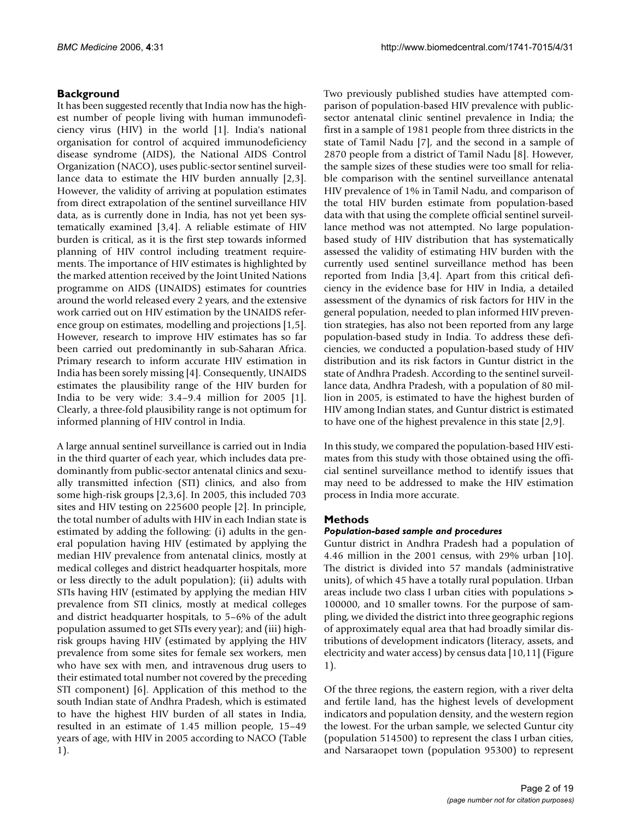# **Background**

It has been suggested recently that India now has the highest number of people living with human immunodeficiency virus (HIV) in the world [1]. India's national organisation for control of acquired immunodeficiency disease syndrome (AIDS), the National AIDS Control Organization (NACO), uses public-sector sentinel surveillance data to estimate the HIV burden annually [2,3]. However, the validity of arriving at population estimates from direct extrapolation of the sentinel surveillance HIV data, as is currently done in India, has not yet been systematically examined [3,4]. A reliable estimate of HIV burden is critical, as it is the first step towards informed planning of HIV control including treatment requirements. The importance of HIV estimates is highlighted by the marked attention received by the Joint United Nations programme on AIDS (UNAIDS) estimates for countries around the world released every 2 years, and the extensive work carried out on HIV estimation by the UNAIDS reference group on estimates, modelling and projections [1,5]. However, research to improve HIV estimates has so far been carried out predominantly in sub-Saharan Africa. Primary research to inform accurate HIV estimation in India has been sorely missing [4]. Consequently, UNAIDS estimates the plausibility range of the HIV burden for India to be very wide: 3.4–9.4 million for 2005 [1]. Clearly, a three-fold plausibility range is not optimum for informed planning of HIV control in India.

A large annual sentinel surveillance is carried out in India in the third quarter of each year, which includes data predominantly from public-sector antenatal clinics and sexually transmitted infection (STI) clinics, and also from some high-risk groups [2,3,6]. In 2005, this included 703 sites and HIV testing on 225600 people [2]. In principle, the total number of adults with HIV in each Indian state is estimated by adding the following: (i) adults in the general population having HIV (estimated by applying the median HIV prevalence from antenatal clinics, mostly at medical colleges and district headquarter hospitals, more or less directly to the adult population); (ii) adults with STIs having HIV (estimated by applying the median HIV prevalence from STI clinics, mostly at medical colleges and district headquarter hospitals, to 5–6% of the adult population assumed to get STIs every year); and (iii) highrisk groups having HIV (estimated by applying the HIV prevalence from some sites for female sex workers, men who have sex with men, and intravenous drug users to their estimated total number not covered by the preceding STI component) [6]. Application of this method to the south Indian state of Andhra Pradesh, which is estimated to have the highest HIV burden of all states in India, resulted in an estimate of 1.45 million people, 15–49 years of age, with HIV in 2005 according to NACO (Table 1).

Two previously published studies have attempted comparison of population-based HIV prevalence with publicsector antenatal clinic sentinel prevalence in India; the first in a sample of 1981 people from three districts in the state of Tamil Nadu [7], and the second in a sample of 2870 people from a district of Tamil Nadu [8]. However, the sample sizes of these studies were too small for reliable comparison with the sentinel surveillance antenatal HIV prevalence of 1% in Tamil Nadu, and comparison of the total HIV burden estimate from population-based data with that using the complete official sentinel surveillance method was not attempted. No large populationbased study of HIV distribution that has systematically assessed the validity of estimating HIV burden with the currently used sentinel surveillance method has been reported from India [3,4]. Apart from this critical deficiency in the evidence base for HIV in India, a detailed assessment of the dynamics of risk factors for HIV in the general population, needed to plan informed HIV prevention strategies, has also not been reported from any large population-based study in India. To address these deficiencies, we conducted a population-based study of HIV distribution and its risk factors in Guntur district in the state of Andhra Pradesh. According to the sentinel surveillance data, Andhra Pradesh, with a population of 80 million in 2005, is estimated to have the highest burden of HIV among Indian states, and Guntur district is estimated to have one of the highest prevalence in this state [2,9].

In this study, we compared the population-based HIV estimates from this study with those obtained using the official sentinel surveillance method to identify issues that may need to be addressed to make the HIV estimation process in India more accurate.

# **Methods**

# *Population-based sample and procedures*

Guntur district in Andhra Pradesh had a population of 4.46 million in the 2001 census, with 29% urban [10]. The district is divided into 57 mandals (administrative units), of which 45 have a totally rural population. Urban areas include two class I urban cities with populations > 100000, and 10 smaller towns. For the purpose of sampling, we divided the district into three geographic regions of approximately equal area that had broadly similar distributions of development indicators (literacy, assets, and electricity and water access) by census data [10,11] (Figure 1).

Of the three regions, the eastern region, with a river delta and fertile land, has the highest levels of development indicators and population density, and the western region the lowest. For the urban sample, we selected Guntur city (population 514500) to represent the class I urban cities, and Narsaraopet town (population 95300) to represent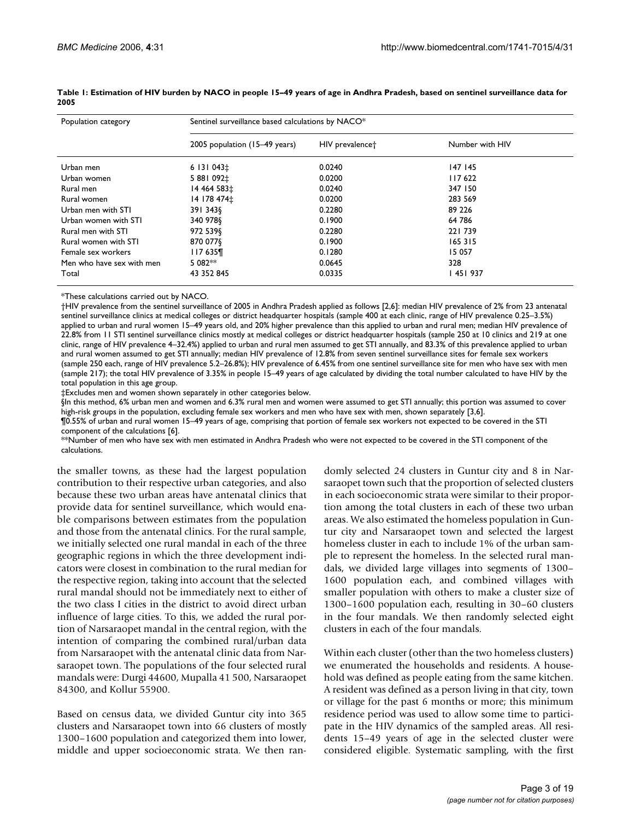| Population category       | Sentinel surveillance based calculations by NACO* |                             |                 |
|---------------------------|---------------------------------------------------|-----------------------------|-----------------|
|                           | 2005 population (15–49 years)                     | HIV prevalence <sup>+</sup> | Number with HIV |
| Urban men                 | 6 131 043 ±                                       | 0.0240                      | 147 145         |
| Urban women               | 5 881 092±                                        | 0.0200                      | 117622          |
| Rural men                 | 14 464 583±                                       | 0.0240                      | 347 150         |
| Rural women               | 14 178 474 ±                                      | 0.0200                      | 283 569         |
| Urban men with STI        | 391 3436                                          | 0.2280                      | 89 2 2 6        |
| Urban women with STI      | 340 9786                                          | 0.1900                      | 64 786          |
| Rural men with STI        | 972 5396                                          | 0.2280                      | 221739          |
| Rural women with STI      | 870 0776                                          | 0.1900                      | 165 315         |
| Female sex workers        | 117635                                            | 0.1280                      | 15 057          |
| Men who have sex with men | 5 082**                                           | 0.0645                      | 328             |
| Total                     | 43 352 845                                        | 0.0335                      | 45  937         |

**Table 1: Estimation of HIV burden by NACO in people 15–49 years of age in Andhra Pradesh, based on sentinel surveillance data for 2005**

\*These calculations carried out by NACO.

†HIV prevalence from the sentinel surveillance of 2005 in Andhra Pradesh applied as follows [2,6]: median HIV prevalence of 2% from 23 antenatal sentinel surveillance clinics at medical colleges or district headquarter hospitals (sample 400 at each clinic, range of HIV prevalence 0.25–3.5%) applied to urban and rural women 15–49 years old, and 20% higher prevalence than this applied to urban and rural men; median HIV prevalence of 22.8% from 11 STI sentinel surveillance clinics mostly at medical colleges or district headquarter hospitals (sample 250 at 10 clinics and 219 at one clinic, range of HIV prevalence 4–32.4%) applied to urban and rural men assumed to get STI annually, and 83.3% of this prevalence applied to urban and rural women assumed to get STI annually; median HIV prevalence of 12.8% from seven sentinel surveillance sites for female sex workers (sample 250 each, range of HIV prevalence 5.2–26.8%); HIV prevalence of 6.45% from one sentinel surveillance site for men who have sex with men (sample 217); the total HIV prevalence of 3.35% in people 15–49 years of age calculated by dividing the total number calculated to have HIV by the total population in this age group.

‡Excludes men and women shown separately in other categories below.

§In this method, 6% urban men and women and 6.3% rural men and women were assumed to get STI annually; this portion was assumed to cover

high-risk groups in the population, excluding female sex workers and men who have sex with men, shown separately [3,6]. ¶0.55% of urban and rural women 15–49 years of age, comprising that portion of female sex workers not expected to be covered in the STI

component of the calculations [6].

\*\*Number of men who have sex with men estimated in Andhra Pradesh who were not expected to be covered in the STI component of the calculations.

the smaller towns, as these had the largest population contribution to their respective urban categories, and also because these two urban areas have antenatal clinics that provide data for sentinel surveillance, which would enable comparisons between estimates from the population and those from the antenatal clinics. For the rural sample, we initially selected one rural mandal in each of the three geographic regions in which the three development indicators were closest in combination to the rural median for the respective region, taking into account that the selected rural mandal should not be immediately next to either of the two class I cities in the district to avoid direct urban influence of large cities. To this, we added the rural portion of Narsaraopet mandal in the central region, with the intention of comparing the combined rural/urban data from Narsaraopet with the antenatal clinic data from Narsaraopet town. The populations of the four selected rural mandals were: Durgi 44600, Mupalla 41 500, Narsaraopet 84300, and Kollur 55900.

Based on census data, we divided Guntur city into 365 clusters and Narsaraopet town into 66 clusters of mostly 1300–1600 population and categorized them into lower, middle and upper socioeconomic strata. We then randomly selected 24 clusters in Guntur city and 8 in Narsaraopet town such that the proportion of selected clusters in each socioeconomic strata were similar to their proportion among the total clusters in each of these two urban areas. We also estimated the homeless population in Guntur city and Narsaraopet town and selected the largest homeless cluster in each to include 1% of the urban sample to represent the homeless. In the selected rural mandals, we divided large villages into segments of 1300– 1600 population each, and combined villages with smaller population with others to make a cluster size of 1300–1600 population each, resulting in 30–60 clusters in the four mandals. We then randomly selected eight clusters in each of the four mandals.

Within each cluster (other than the two homeless clusters) we enumerated the households and residents. A household was defined as people eating from the same kitchen. A resident was defined as a person living in that city, town or village for the past 6 months or more; this minimum residence period was used to allow some time to participate in the HIV dynamics of the sampled areas. All residents 15–49 years of age in the selected cluster were considered eligible. Systematic sampling, with the first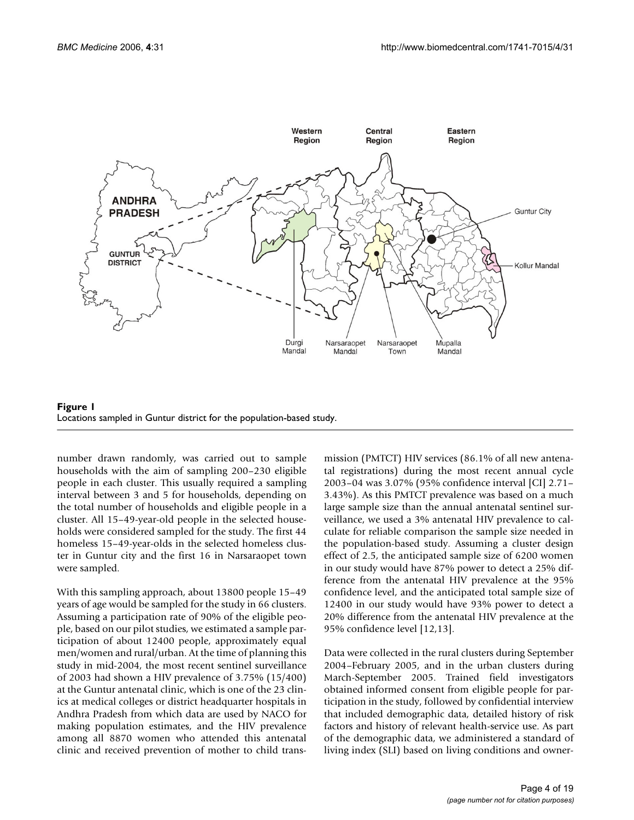

**Figure 1** Locations sampled in Guntur district for the population-based study.

number drawn randomly, was carried out to sample households with the aim of sampling 200–230 eligible people in each cluster. This usually required a sampling interval between 3 and 5 for households, depending on the total number of households and eligible people in a cluster. All 15–49-year-old people in the selected households were considered sampled for the study. The first 44 homeless 15–49-year-olds in the selected homeless cluster in Guntur city and the first 16 in Narsaraopet town were sampled.

With this sampling approach, about 13800 people 15–49 years of age would be sampled for the study in 66 clusters. Assuming a participation rate of 90% of the eligible people, based on our pilot studies, we estimated a sample participation of about 12400 people, approximately equal men/women and rural/urban. At the time of planning this study in mid-2004, the most recent sentinel surveillance of 2003 had shown a HIV prevalence of 3.75% (15/400) at the Guntur antenatal clinic, which is one of the 23 clinics at medical colleges or district headquarter hospitals in Andhra Pradesh from which data are used by NACO for making population estimates, and the HIV prevalence among all 8870 women who attended this antenatal clinic and received prevention of mother to child transmission (PMTCT) HIV services (86.1% of all new antenatal registrations) during the most recent annual cycle 2003–04 was 3.07% (95% confidence interval [CI] 2.71– 3.43%). As this PMTCT prevalence was based on a much large sample size than the annual antenatal sentinel surveillance, we used a 3% antenatal HIV prevalence to calculate for reliable comparison the sample size needed in the population-based study. Assuming a cluster design effect of 2.5, the anticipated sample size of 6200 women in our study would have 87% power to detect a 25% difference from the antenatal HIV prevalence at the 95% confidence level, and the anticipated total sample size of 12400 in our study would have 93% power to detect a 20% difference from the antenatal HIV prevalence at the 95% confidence level [12,13].

Data were collected in the rural clusters during September 2004–February 2005, and in the urban clusters during March-September 2005. Trained field investigators obtained informed consent from eligible people for participation in the study, followed by confidential interview that included demographic data, detailed history of risk factors and history of relevant health-service use. As part of the demographic data, we administered a standard of living index (SLI) based on living conditions and owner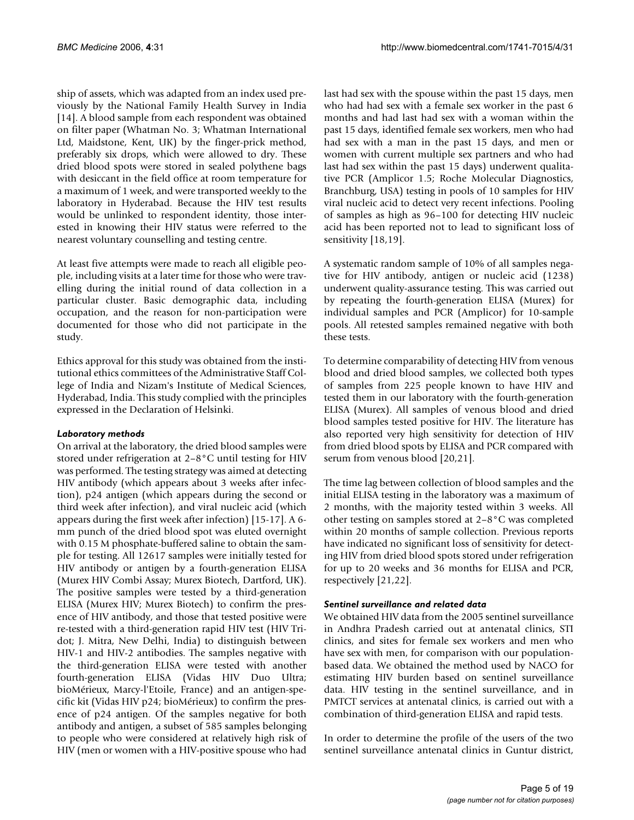ship of assets, which was adapted from an index used previously by the National Family Health Survey in India [14]. A blood sample from each respondent was obtained on filter paper (Whatman No. 3; Whatman International Ltd, Maidstone, Kent, UK) by the finger-prick method, preferably six drops, which were allowed to dry. These dried blood spots were stored in sealed polythene bags with desiccant in the field office at room temperature for a maximum of 1 week, and were transported weekly to the laboratory in Hyderabad. Because the HIV test results would be unlinked to respondent identity, those interested in knowing their HIV status were referred to the nearest voluntary counselling and testing centre.

At least five attempts were made to reach all eligible people, including visits at a later time for those who were travelling during the initial round of data collection in a particular cluster. Basic demographic data, including occupation, and the reason for non-participation were documented for those who did not participate in the study.

Ethics approval for this study was obtained from the institutional ethics committees of the Administrative Staff College of India and Nizam's Institute of Medical Sciences, Hyderabad, India. This study complied with the principles expressed in the Declaration of Helsinki.

# *Laboratory methods*

On arrival at the laboratory, the dried blood samples were stored under refrigeration at 2–8°C until testing for HIV was performed. The testing strategy was aimed at detecting HIV antibody (which appears about 3 weeks after infection), p24 antigen (which appears during the second or third week after infection), and viral nucleic acid (which appears during the first week after infection) [15-17]. A 6 mm punch of the dried blood spot was eluted overnight with 0.15 M phosphate-buffered saline to obtain the sample for testing. All 12617 samples were initially tested for HIV antibody or antigen by a fourth-generation ELISA (Murex HIV Combi Assay; Murex Biotech, Dartford, UK). The positive samples were tested by a third-generation ELISA (Murex HIV; Murex Biotech) to confirm the presence of HIV antibody, and those that tested positive were re-tested with a third-generation rapid HIV test (HIV Tridot; J. Mitra, New Delhi, India) to distinguish between HIV-1 and HIV-2 antibodies. The samples negative with the third-generation ELISA were tested with another fourth-generation ELISA (Vidas HIV Duo Ultra; bioMérieux, Marcy-l'Etoile, France) and an antigen-specific kit (Vidas HIV p24; bioMérieux) to confirm the presence of p24 antigen. Of the samples negative for both antibody and antigen, a subset of 585 samples belonging to people who were considered at relatively high risk of HIV (men or women with a HIV-positive spouse who had

last had sex with the spouse within the past 15 days, men who had had sex with a female sex worker in the past 6 months and had last had sex with a woman within the past 15 days, identified female sex workers, men who had had sex with a man in the past 15 days, and men or women with current multiple sex partners and who had last had sex within the past 15 days) underwent qualitative PCR (Amplicor 1.5; Roche Molecular Diagnostics, Branchburg, USA) testing in pools of 10 samples for HIV viral nucleic acid to detect very recent infections. Pooling of samples as high as 96–100 for detecting HIV nucleic acid has been reported not to lead to significant loss of sensitivity [18,19].

A systematic random sample of 10% of all samples negative for HIV antibody, antigen or nucleic acid (1238) underwent quality-assurance testing. This was carried out by repeating the fourth-generation ELISA (Murex) for individual samples and PCR (Amplicor) for 10-sample pools. All retested samples remained negative with both these tests.

To determine comparability of detecting HIV from venous blood and dried blood samples, we collected both types of samples from 225 people known to have HIV and tested them in our laboratory with the fourth-generation ELISA (Murex). All samples of venous blood and dried blood samples tested positive for HIV. The literature has also reported very high sensitivity for detection of HIV from dried blood spots by ELISA and PCR compared with serum from venous blood [20,21].

The time lag between collection of blood samples and the initial ELISA testing in the laboratory was a maximum of 2 months, with the majority tested within 3 weeks. All other testing on samples stored at 2–8°C was completed within 20 months of sample collection. Previous reports have indicated no significant loss of sensitivity for detecting HIV from dried blood spots stored under refrigeration for up to 20 weeks and 36 months for ELISA and PCR, respectively [21,22].

# *Sentinel surveillance and related data*

We obtained HIV data from the 2005 sentinel surveillance in Andhra Pradesh carried out at antenatal clinics, STI clinics, and sites for female sex workers and men who have sex with men, for comparison with our populationbased data. We obtained the method used by NACO for estimating HIV burden based on sentinel surveillance data. HIV testing in the sentinel surveillance, and in PMTCT services at antenatal clinics, is carried out with a combination of third-generation ELISA and rapid tests.

In order to determine the profile of the users of the two sentinel surveillance antenatal clinics in Guntur district,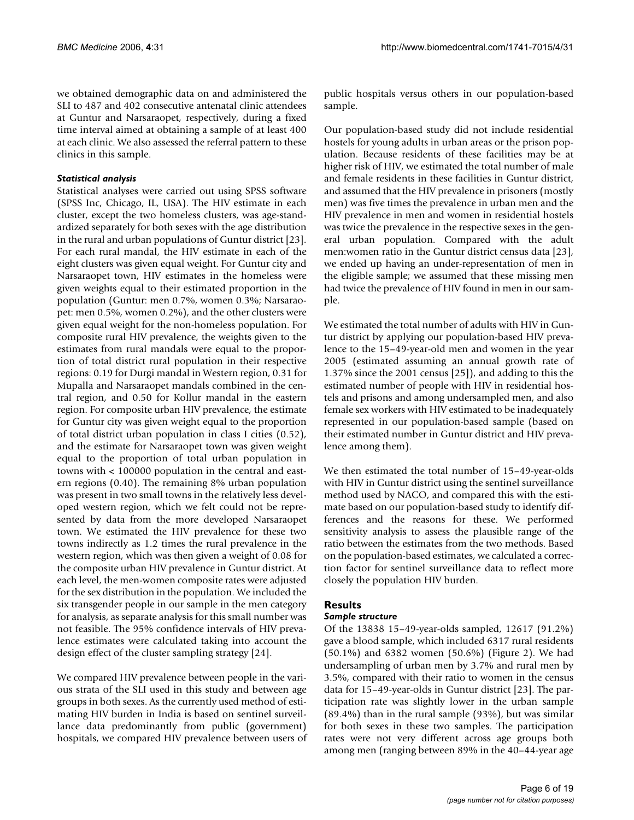we obtained demographic data on and administered the SLI to 487 and 402 consecutive antenatal clinic attendees at Guntur and Narsaraopet, respectively, during a fixed time interval aimed at obtaining a sample of at least 400 at each clinic. We also assessed the referral pattern to these clinics in this sample.

# *Statistical analysis*

Statistical analyses were carried out using SPSS software (SPSS Inc, Chicago, IL, USA). The HIV estimate in each cluster, except the two homeless clusters, was age-standardized separately for both sexes with the age distribution in the rural and urban populations of Guntur district [23]. For each rural mandal, the HIV estimate in each of the eight clusters was given equal weight. For Guntur city and Narsaraopet town, HIV estimates in the homeless were given weights equal to their estimated proportion in the population (Guntur: men 0.7%, women 0.3%; Narsaraopet: men 0.5%, women 0.2%), and the other clusters were given equal weight for the non-homeless population. For composite rural HIV prevalence, the weights given to the estimates from rural mandals were equal to the proportion of total district rural population in their respective regions: 0.19 for Durgi mandal in Western region, 0.31 for Mupalla and Narsaraopet mandals combined in the central region, and 0.50 for Kollur mandal in the eastern region. For composite urban HIV prevalence, the estimate for Guntur city was given weight equal to the proportion of total district urban population in class I cities (0.52), and the estimate for Narsaraopet town was given weight equal to the proportion of total urban population in towns with < 100000 population in the central and eastern regions (0.40). The remaining 8% urban population was present in two small towns in the relatively less developed western region, which we felt could not be represented by data from the more developed Narsaraopet town. We estimated the HIV prevalence for these two towns indirectly as 1.2 times the rural prevalence in the western region, which was then given a weight of 0.08 for the composite urban HIV prevalence in Guntur district. At each level, the men-women composite rates were adjusted for the sex distribution in the population. We included the six transgender people in our sample in the men category for analysis, as separate analysis for this small number was not feasible. The 95% confidence intervals of HIV prevalence estimates were calculated taking into account the design effect of the cluster sampling strategy [24].

We compared HIV prevalence between people in the various strata of the SLI used in this study and between age groups in both sexes. As the currently used method of estimating HIV burden in India is based on sentinel surveillance data predominantly from public (government) hospitals, we compared HIV prevalence between users of public hospitals versus others in our population-based sample.

Our population-based study did not include residential hostels for young adults in urban areas or the prison population. Because residents of these facilities may be at higher risk of HIV, we estimated the total number of male and female residents in these facilities in Guntur district, and assumed that the HIV prevalence in prisoners (mostly men) was five times the prevalence in urban men and the HIV prevalence in men and women in residential hostels was twice the prevalence in the respective sexes in the general urban population. Compared with the adult men:women ratio in the Guntur district census data [23], we ended up having an under-representation of men in the eligible sample; we assumed that these missing men had twice the prevalence of HIV found in men in our sample.

We estimated the total number of adults with HIV in Guntur district by applying our population-based HIV prevalence to the 15–49-year-old men and women in the year 2005 (estimated assuming an annual growth rate of 1.37% since the 2001 census [25]), and adding to this the estimated number of people with HIV in residential hostels and prisons and among undersampled men, and also female sex workers with HIV estimated to be inadequately represented in our population-based sample (based on their estimated number in Guntur district and HIV prevalence among them).

We then estimated the total number of 15–49-year-olds with HIV in Guntur district using the sentinel surveillance method used by NACO, and compared this with the estimate based on our population-based study to identify differences and the reasons for these. We performed sensitivity analysis to assess the plausible range of the ratio between the estimates from the two methods. Based on the population-based estimates, we calculated a correction factor for sentinel surveillance data to reflect more closely the population HIV burden.

# **Results**

# *Sample structure*

Of the 13838 15–49-year-olds sampled, 12617 (91.2%) gave a blood sample, which included 6317 rural residents (50.1%) and 6382 women (50.6%) (Figure 2). We had undersampling of urban men by 3.7% and rural men by 3.5%, compared with their ratio to women in the census data for 15–49-year-olds in Guntur district [23]. The participation rate was slightly lower in the urban sample (89.4%) than in the rural sample (93%), but was similar for both sexes in these two samples. The participation rates were not very different across age groups both among men (ranging between 89% in the 40–44-year age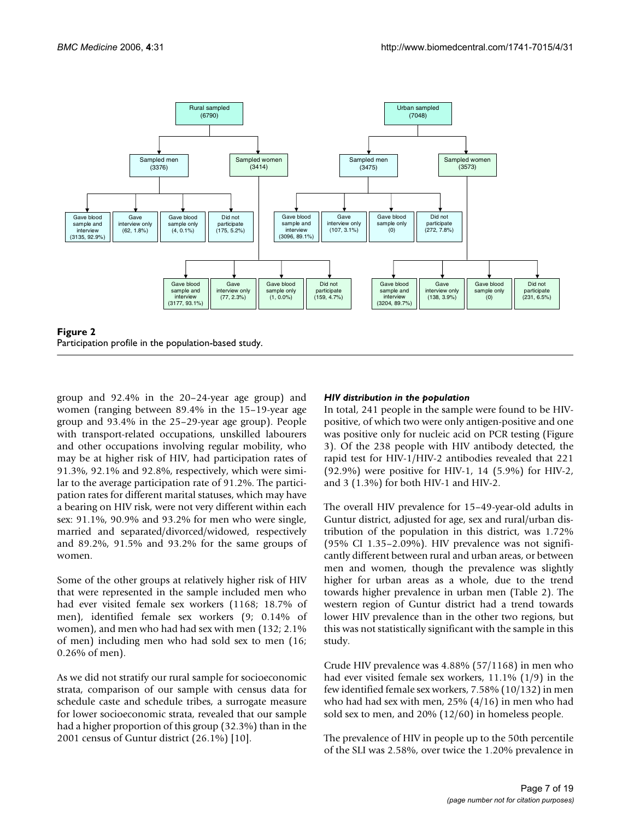

group and 92.4% in the 20–24-year age group) and women (ranging between 89.4% in the 15–19-year age group and 93.4% in the 25–29-year age group). People with transport-related occupations, unskilled labourers and other occupations involving regular mobility, who may be at higher risk of HIV, had participation rates of 91.3%, 92.1% and 92.8%, respectively, which were similar to the average participation rate of 91.2%. The participation rates for different marital statuses, which may have a bearing on HIV risk, were not very different within each sex: 91.1%, 90.9% and 93.2% for men who were single, married and separated/divorced/widowed, respectively and 89.2%, 91.5% and 93.2% for the same groups of women.

Some of the other groups at relatively higher risk of HIV that were represented in the sample included men who had ever visited female sex workers (1168; 18.7% of men), identified female sex workers (9; 0.14% of women), and men who had had sex with men (132; 2.1% of men) including men who had sold sex to men (16; 0.26% of men).

As we did not stratify our rural sample for socioeconomic strata, comparison of our sample with census data for schedule caste and schedule tribes, a surrogate measure for lower socioeconomic strata, revealed that our sample had a higher proportion of this group (32.3%) than in the 2001 census of Guntur district (26.1%) [10].

### *HIV distribution in the population*

In total, 241 people in the sample were found to be HIVpositive, of which two were only antigen-positive and one was positive only for nucleic acid on PCR testing (Figure 3). Of the 238 people with HIV antibody detected, the rapid test for HIV-1/HIV-2 antibodies revealed that 221 (92.9%) were positive for HIV-1, 14 (5.9%) for HIV-2, and 3 (1.3%) for both HIV-1 and HIV-2.

The overall HIV prevalence for 15–49-year-old adults in Guntur district, adjusted for age, sex and rural/urban distribution of the population in this district, was 1.72% (95% CI 1.35–2.09%). HIV prevalence was not significantly different between rural and urban areas, or between men and women, though the prevalence was slightly higher for urban areas as a whole, due to the trend towards higher prevalence in urban men (Table 2). The western region of Guntur district had a trend towards lower HIV prevalence than in the other two regions, but this was not statistically significant with the sample in this study.

Crude HIV prevalence was 4.88% (57/1168) in men who had ever visited female sex workers, 11.1% (1/9) in the few identified female sex workers, 7.58% (10/132) in men who had had sex with men, 25% (4/16) in men who had sold sex to men, and 20% (12/60) in homeless people.

The prevalence of HIV in people up to the 50th percentile of the SLI was 2.58%, over twice the 1.20% prevalence in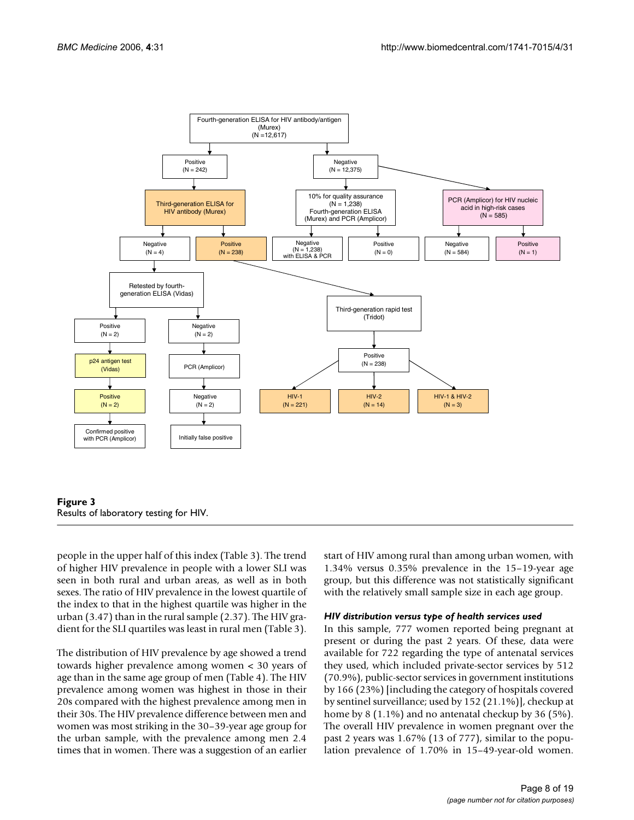

Results of laboratory testing for HIV.

people in the upper half of this index (Table 3). The trend of higher HIV prevalence in people with a lower SLI was seen in both rural and urban areas, as well as in both sexes. The ratio of HIV prevalence in the lowest quartile of the index to that in the highest quartile was higher in the urban (3.47) than in the rural sample (2.37). The HIV gradient for the SLI quartiles was least in rural men (Table 3).

The distribution of HIV prevalence by age showed a trend towards higher prevalence among women < 30 years of age than in the same age group of men (Table 4). The HIV prevalence among women was highest in those in their 20s compared with the highest prevalence among men in their 30s. The HIV prevalence difference between men and women was most striking in the 30–39-year age group for the urban sample, with the prevalence among men 2.4 times that in women. There was a suggestion of an earlier

start of HIV among rural than among urban women, with 1.34% versus 0.35% prevalence in the 15–19-year age group, but this difference was not statistically significant with the relatively small sample size in each age group.

#### *HIV distribution versus type of health services used*

In this sample, 777 women reported being pregnant at present or during the past 2 years. Of these, data were available for 722 regarding the type of antenatal services they used, which included private-sector services by 512 (70.9%), public-sector services in government institutions by 166 (23%) [including the category of hospitals covered by sentinel surveillance; used by 152 (21.1%)], checkup at home by 8 (1.1%) and no antenatal checkup by 36 (5%). The overall HIV prevalence in women pregnant over the past 2 years was 1.67% (13 of 777), similar to the population prevalence of 1.70% in 15–49-year-old women.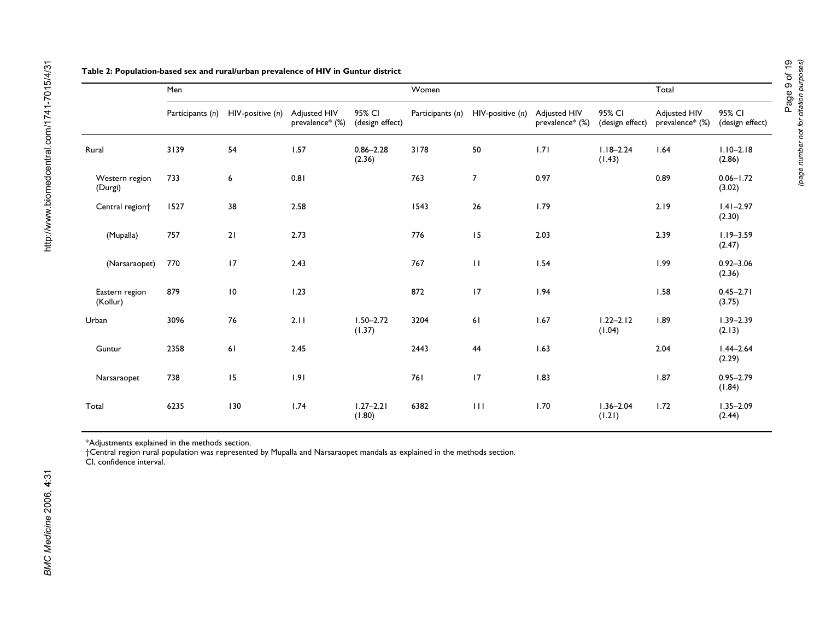|                             | Men              |                  |                                        | Women                     |                  |                       |                                        | Total                     |                                        |                           |
|-----------------------------|------------------|------------------|----------------------------------------|---------------------------|------------------|-----------------------|----------------------------------------|---------------------------|----------------------------------------|---------------------------|
|                             | Participants (n) | HIV-positive (n) | <b>Adjusted HIV</b><br>prevalence* (%) | 95% CI<br>(design effect) | Participants (n) | $HIV$ -positive $(n)$ | <b>Adjusted HIV</b><br>prevalence* (%) | 95% CI<br>(design effect) | <b>Adjusted HIV</b><br>prevalence* (%) | 95% CI<br>(design effect) |
| Rural                       | 3139             | 54               | 1.57                                   | $0.86 - 2.28$<br>(2.36)   | 3178             | 50                    | 1.71                                   | $1.18 - 2.24$<br>(1.43)   | 1.64                                   | $1.10 - 2.18$<br>(2.86)   |
| Western region<br>(Durgi)   | 733              | 6                | 0.81                                   |                           | 763              | 7                     | 0.97                                   |                           | 0.89                                   | $0.06 - 1.72$<br>(3.02)   |
| Central region <sup>+</sup> | 1527             | 38               | 2.58                                   |                           | 1543             | 26                    | 1.79                                   |                           | 2.19                                   | $1.41 - 2.97$<br>(2.30)   |
| (Mupalla)                   | 757              | 21               | 2.73                                   |                           | 776              | 15                    | 2.03                                   |                           | 2.39                                   | $1.19 - 3.59$<br>(2.47)   |
| (Narsaraopet)               | 770              | 17               | 2.43                                   |                           | 767              | $\mathbf{H}$          | 1.54                                   |                           | 1.99                                   | $0.92 - 3.06$<br>(2.36)   |
| Eastern region<br>(Kollur)  | 879              | $\overline{10}$  | 1.23                                   |                           | 872              | 17                    | 1.94                                   |                           | 1.58                                   | $0.45 - 2.71$<br>(3.75)   |
| Urban                       | 3096             | 76               | 2.11                                   | $1.50 - 2.72$<br>(1.37)   | 3204             | 61                    | 1.67                                   | $1.22 - 2.12$<br>(1.04)   | 1.89                                   | $1.39 - 2.39$<br>(2.13)   |
| Guntur                      | 2358             | 61               | 2.45                                   |                           | 2443             | 44                    | 1.63                                   |                           | 2.04                                   | $1.44 - 2.64$<br>(2.29)   |
| Narsaraopet                 | 738              | 15               | 1.91                                   |                           | 761              | 17                    | 1.83                                   |                           | 1.87                                   | $0.95 - 2.79$<br>(1.84)   |
| Total                       | 6235             | 130              | 1.74                                   | $1.27 - 2.21$<br>(1.80)   | 6382             | 111                   | 1.70                                   | $1.36 - 2.04$<br>(1.21)   | 1.72                                   | $1.35 - 2.09$<br>(2.44)   |

#### **Table 2: Population-based sex and rural/urban prevalence of HIV in Guntur district**

\*Adjustments explained in the methods section.

†Central region rural population was represented by Mupalla and Narsaraopet mandals as explained in the methods section. CI, confidence interval.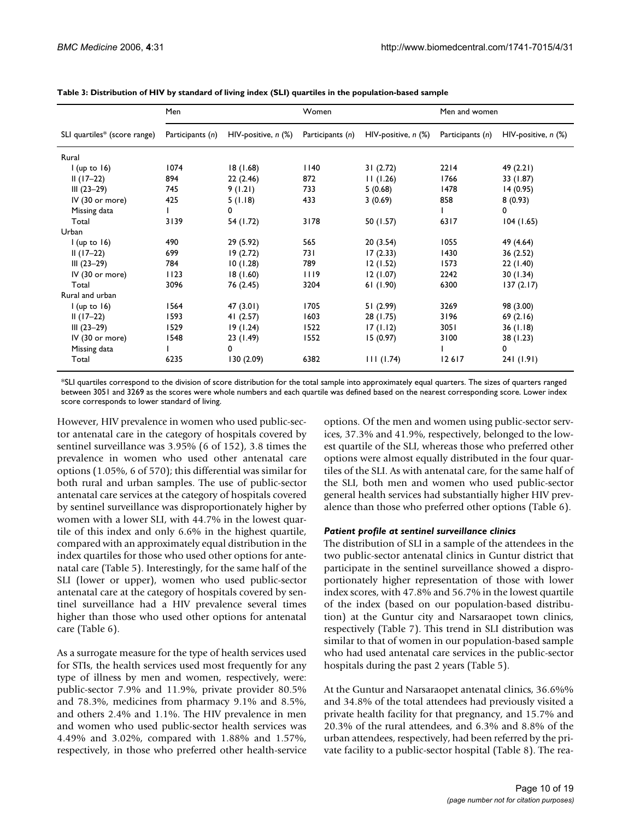|                              | Men              |                          | Women            |                          | Men and women    |                     |
|------------------------------|------------------|--------------------------|------------------|--------------------------|------------------|---------------------|
| SLI quartiles* (score range) | Participants (n) | $HIV$ -positive, $n$ (%) | Participants (n) | $HIV$ -positive, $n$ $%$ | Participants (n) | HIV-positive, n (%) |
| Rural                        |                  |                          |                  |                          |                  |                     |
| $l$ (up to 16)               | 1074             | 18(1.68)                 | 1140             | 31(2.72)                 | 2214             | 49 (2.21)           |
| $II(17-22)$                  | 894              | 22(2.46)                 | 872              | 11(1.26)                 | 1766             | 33 (1.87)           |
| $III (23-29)$                | 745              | 9(1.21)                  | 733              | 5(0.68)                  | 1478             | 14(0.95)            |
| IV (30 or more)              | 425              | 5(1.18)                  | 433              | 3(0.69)                  | 858              | 8(0.93)             |
| Missing data                 |                  | 0                        |                  |                          |                  | 0                   |
| Total                        | 3139             | 54 (1.72)                | 3178             | 50 (1.57)                | 6317             | 104(1.65)           |
| Urban                        |                  |                          |                  |                          |                  |                     |
| $l$ (up to 16)               | 490              | 29 (5.92)                | 565              | 20(3.54)                 | 1055             | 49 (4.64)           |
| $II(17-22)$                  | 699              | 19(2.72)                 | 731              | 17(2.33)                 | 1430             | 36 (2.52)           |
| $III (23-29)$                | 784              | 10(1.28)                 | 789              | 12(1.52)                 | 1573             | 22 (1.40)           |
| IV (30 or more)              | 1123             | 18(1.60)                 | 1119             | 12(1.07)                 | 2242             | 30(1.34)            |
| Total                        | 3096             | 76 (2.45)                | 3204             | 61(1.90)                 | 6300             | 137(2.17)           |
| Rural and urban              |                  |                          |                  |                          |                  |                     |
| $l$ (up to 16)               | 1564             | 47 (3.01)                | 1705             | 51(2.99)                 | 3269             | 98 (3.00)           |
| $II(17-22)$                  | 1593             | 41(2.57)                 | 1603             | 28 (1.75)                | 3196             | 69(2.16)            |
| $III (23-29)$                | 1529             | 19(1.24)                 | 1522             | 17(1.12)                 | 3051             | 36(1.18)            |
| IV (30 or more)              | 1548             | 23 (1.49)                | 1552             | 15(0.97)                 | 3100             | 38 (1.23)           |
| Missing data                 |                  | 0                        |                  |                          |                  | 0                   |
| Total                        | 6235             | 130 (2.09)               | 6382             | 111(1.74)                | 12617            | 241 (1.91)          |

**Table 3: Distribution of HIV by standard of living index (SLI) quartiles in the population-based sample**

\*SLI quartiles correspond to the division of score distribution for the total sample into approximately equal quarters. The sizes of quarters ranged between 3051 and 3269 as the scores were whole numbers and each quartile was defined based on the nearest corresponding score. Lower index score corresponds to lower standard of living.

However, HIV prevalence in women who used public-sector antenatal care in the category of hospitals covered by sentinel surveillance was 3.95% (6 of 152), 3.8 times the prevalence in women who used other antenatal care options (1.05%, 6 of 570); this differential was similar for both rural and urban samples. The use of public-sector antenatal care services at the category of hospitals covered by sentinel surveillance was disproportionately higher by women with a lower SLI, with 44.7% in the lowest quartile of this index and only 6.6% in the highest quartile, compared with an approximately equal distribution in the index quartiles for those who used other options for antenatal care (Table 5). Interestingly, for the same half of the SLI (lower or upper), women who used public-sector antenatal care at the category of hospitals covered by sentinel surveillance had a HIV prevalence several times higher than those who used other options for antenatal care (Table 6).

As a surrogate measure for the type of health services used for STIs, the health services used most frequently for any type of illness by men and women, respectively, were: public-sector 7.9% and 11.9%, private provider 80.5% and 78.3%, medicines from pharmacy 9.1% and 8.5%, and others 2.4% and 1.1%. The HIV prevalence in men and women who used public-sector health services was 4.49% and 3.02%, compared with 1.88% and 1.57%, respectively, in those who preferred other health-service options. Of the men and women using public-sector services, 37.3% and 41.9%, respectively, belonged to the lowest quartile of the SLI, whereas those who preferred other options were almost equally distributed in the four quartiles of the SLI. As with antenatal care, for the same half of the SLI, both men and women who used public-sector general health services had substantially higher HIV prevalence than those who preferred other options (Table 6).

### *Patient profile at sentinel surveillance clinics*

The distribution of SLI in a sample of the attendees in the two public-sector antenatal clinics in Guntur district that participate in the sentinel surveillance showed a disproportionately higher representation of those with lower index scores, with 47.8% and 56.7% in the lowest quartile of the index (based on our population-based distribution) at the Guntur city and Narsaraopet town clinics, respectively (Table 7). This trend in SLI distribution was similar to that of women in our population-based sample who had used antenatal care services in the public-sector hospitals during the past 2 years (Table 5).

At the Guntur and Narsaraopet antenatal clinics, 36.6%% and 34.8% of the total attendees had previously visited a private health facility for that pregnancy, and 15.7% and 20.3% of the rural attendees, and 6.3% and 8.8% of the urban attendees, respectively, had been referred by the private facility to a public-sector hospital (Table 8). The rea-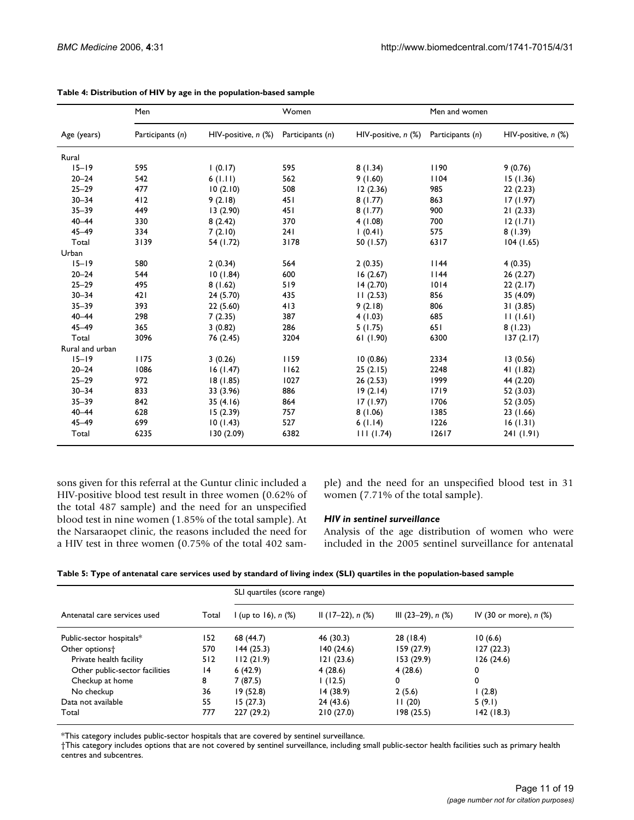|                 | Men              |                     | Women            |                     | Men and women    |                     |
|-----------------|------------------|---------------------|------------------|---------------------|------------------|---------------------|
| Age (years)     | Participants (n) | HIV-positive, n (%) | Participants (n) | HIV-positive, n (%) | Participants (n) | HIV-positive, n (%) |
| Rural           |                  |                     |                  |                     |                  |                     |
| $15 - 19$       | 595              | 1(0.17)             | 595              | 8(1.34)             | 1190             | 9(0.76)             |
| $20 - 24$       | 542              | 6 (1.11)            | 562              | 9(1.60)             | 1104             | 15(1.36)            |
| $25 - 29$       | 477              | 10(2.10)            | 508              | 12(2.36)            | 985              | 22(2.23)            |
| $30 - 34$       | 412              | 9(2.18)             | 451              | 8(1.77)             | 863              | 17(1.97)            |
| $35 - 39$       | 449              | 13(2.90)            | 451              | 8(1.77)             | 900              | 21(2.33)            |
| $40 - 44$       | 330              | 8(2.42)             | 370              | 4(1.08)             | 700              | 12(1.71)            |
| $45 - 49$       | 334              | 7(2.10)             | 241              | 1(0.41)             | 575              | 8(1.39)             |
| Total           | 3139             | 54 (1.72)           | 3178             | 50 (1.57)           | 6317             | 104(1.65)           |
| Urban           |                  |                     |                  |                     |                  |                     |
| $15 - 19$       | 580              | 2(0.34)             | 564              | 2(0.35)             | 1144             | 4(0.35)             |
| $20 - 24$       | 544              | 10(1.84)            | 600              | 16(2.67)            | 1144             | 26(2.27)            |
| $25 - 29$       | 495              | 8(1.62)             | 519              | 14(2.70)            | 1014             | 22(2.17)            |
| $30 - 34$       | 421              | 24 (5.70)           | 435              | 11(2.53)            | 856              | 35 (4.09)           |
| $35 - 39$       | 393              | 22(5.60)            | 413              | 9(2.18)             | 806              | 31(3.85)            |
| $40 - 44$       | 298              | 7(2.35)             | 387              | 4(1.03)             | 685              | 11(1.61)            |
| $45 - 49$       | 365              | 3(0.82)             | 286              | 5(1.75)             | 65 I             | 8(1.23)             |
| Total           | 3096             | 76 (2.45)           | 3204             | 61(1.90)            | 6300             | 137(2.17)           |
| Rural and urban |                  |                     |                  |                     |                  |                     |
| $15 - 19$       | 1175             | 3(0.26)             | 1159             | 10(0.86)            | 2334             | 13(0.56)            |
| $20 - 24$       | 1086             | 16(1.47)            | 1162             | 25(2.15)            | 2248             | 41(1.82)            |
| $25 - 29$       | 972              | 18 (1.85)           | 1027             | 26(2.53)            | 1999             | 44 (2.20)           |
| $30 - 34$       | 833              | 33 (3.96)           | 886              | 19(2.14)            | 1719             | 52 (3.03)           |
| $35 - 39$       | 842              | 35(4.16)            | 864              | 17(1.97)            | 1706             | 52 (3.05)           |
| $40 - 44$       | 628              | 15(2.39)            | 757              | 8(1.06)             | 1385             | 23 (1.66)           |
| $45 - 49$       | 699              | 10(1.43)            | 527              | 6(1.14)             | 1226             | 16(1.31)            |
| Total           | 6235             | 130 (2.09)          | 6382             | 111(1.74)           | 12617            | 241 (1.91)          |

| Table 4: Distribution of HIV by age in the population-based sample |  |  |  |
|--------------------------------------------------------------------|--|--|--|
|--------------------------------------------------------------------|--|--|--|

sons given for this referral at the Guntur clinic included a HIV-positive blood test result in three women (0.62% of the total 487 sample) and the need for an unspecified blood test in nine women (1.85% of the total sample). At the Narsaraopet clinic, the reasons included the need for a HIV test in three women (0.75% of the total 402 sample) and the need for an unspecified blood test in 31 women (7.71% of the total sample).

#### *HIV in sentinel surveillance*

Analysis of the age distribution of women who were included in the 2005 sentinel surveillance for antenatal

|  | Table 5: Type of antenatal care services used by standard of living index (SLI) quartiles in the population-based sample |  |  |  |
|--|--------------------------------------------------------------------------------------------------------------------------|--|--|--|
|--|--------------------------------------------------------------------------------------------------------------------------|--|--|--|

|                                |       | SLI quartiles (score range) |                    |                         |                          |
|--------------------------------|-------|-----------------------------|--------------------|-------------------------|--------------------------|
| Antenatal care services used   | Total | $1$ (up to 16), n $(\%)$    | $II(17-22), n(\%)$ | III $(23-29)$ , n $(%)$ | IV (30 or more), $n$ (%) |
| Public-sector hospitals*       | 152   | 68 (44.7)                   | 46 (30.3)          | 28(18.4)                | 10(6.6)                  |
| Other options <sup>+</sup>     | 570   | 144(25.3)                   | 140(24.6)          | 159 (27.9)              | 127 (22.3)               |
| Private health facility        | 512   | 112(21.9)                   | 121(23.6)          | 153(29.9)               | 126 (24.6)               |
| Other public-sector facilities | 14    | 6(42.9)                     | 4(28.6)            | 4(28.6)                 | 0                        |
| Checkup at home                | 8     | 7(87.5)                     | 1(12.5)            | 0                       | 0                        |
| No checkup                     | 36    | 19(52.8)                    | 14(38.9)           | 2(5.6)                  | (2.8)                    |
| Data not available             | 55    | 15(27.3)                    | 24(43.6)           | 11(20)                  | 5(9.1)                   |
| Total                          | 777   | 227 (29.2)                  | 210(27.0)          | 198 (25.5)              | 142(18.3)                |

\*This category includes public-sector hospitals that are covered by sentinel surveillance.

†This category includes options that are not covered by sentinel surveillance, including small public-sector health facilities such as primary health centres and subcentres.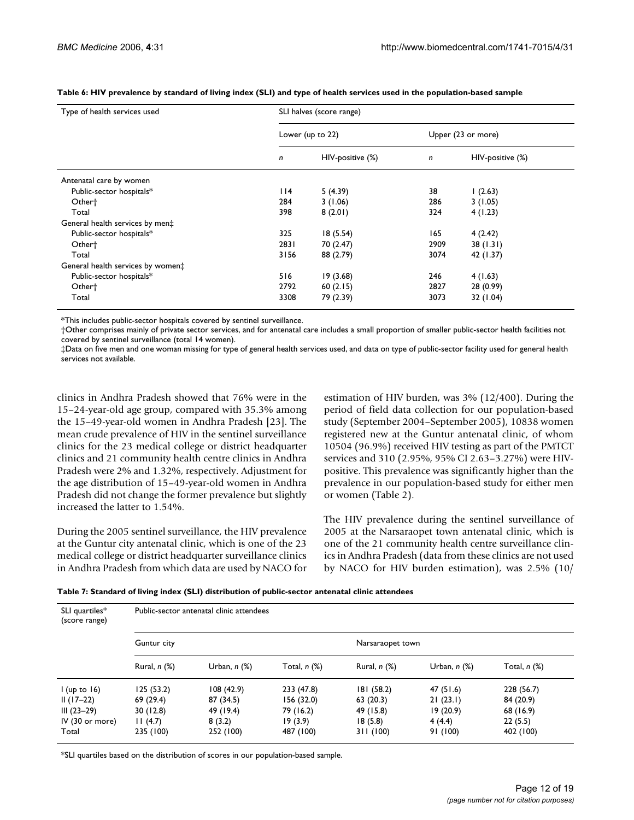| Type of health services used      | SLI halves (score range) |                  |              |                    |  |  |
|-----------------------------------|--------------------------|------------------|--------------|--------------------|--|--|
|                                   | Lower (up to 22)         |                  |              | Upper (23 or more) |  |  |
|                                   | n                        | HIV-positive (%) | $\mathsf{n}$ | HIV-positive (%)   |  |  |
| Antenatal care by women           |                          |                  |              |                    |  |  |
| Public-sector hospitals*          | $ $  4                   | 5(4.39)          | 38           | 1(2.63)            |  |  |
| Other†                            | 284                      | 3(1.06)          | 286          | 3(1.05)            |  |  |
| Total                             | 398                      | 8(2.01)          | 324          | 4(1.23)            |  |  |
| General health services by men‡   |                          |                  |              |                    |  |  |
| Public-sector hospitals*          | 325                      | 18(5.54)         | 165          | 4 (2.42)           |  |  |
| Other†                            | 2831                     | 70 (2.47)        | 2909         | 38 (1.31)          |  |  |
| Total                             | 3156                     | 88 (2.79)        | 3074         | 42 (1.37)          |  |  |
| General health services by women# |                          |                  |              |                    |  |  |
| Public-sector hospitals*          | 516                      | 19(3.68)         | 246          | 4(1.63)            |  |  |
| Other†                            | 2792                     | 60(2.15)         | 2827         | 28 (0.99)          |  |  |
| Total                             | 3308                     | 79 (2.39)        | 3073         | 32 (1.04)          |  |  |

**Table 6: HIV prevalence by standard of living index (SLI) and type of health services used in the population-based sample**

\*This includes public-sector hospitals covered by sentinel surveillance.

†Other comprises mainly of private sector services, and for antenatal care includes a small proportion of smaller public-sector health facilities not covered by sentinel surveillance (total 14 women).

‡Data on five men and one woman missing for type of general health services used, and data on type of public-sector facility used for general health services not available.

clinics in Andhra Pradesh showed that 76% were in the 15–24-year-old age group, compared with 35.3% among the 15–49-year-old women in Andhra Pradesh [23]. The mean crude prevalence of HIV in the sentinel surveillance clinics for the 23 medical college or district headquarter clinics and 21 community health centre clinics in Andhra Pradesh were 2% and 1.32%, respectively. Adjustment for the age distribution of 15–49-year-old women in Andhra Pradesh did not change the former prevalence but slightly increased the latter to 1.54%.

During the 2005 sentinel surveillance, the HIV prevalence at the Guntur city antenatal clinic, which is one of the 23 medical college or district headquarter surveillance clinics in Andhra Pradesh from which data are used by NACO for estimation of HIV burden, was 3% (12/400). During the period of field data collection for our population-based study (September 2004–September 2005), 10838 women registered new at the Guntur antenatal clinic, of whom 10504 (96.9%) received HIV testing as part of the PMTCT services and 310 (2.95%, 95% CI 2.63–3.27%) were HIVpositive. This prevalence was significantly higher than the prevalence in our population-based study for either men or women (Table 2).

The HIV prevalence during the sentinel surveillance of 2005 at the Narsaraopet town antenatal clinic, which is one of the 21 community health centre surveillance clinics in Andhra Pradesh (data from these clinics are not used by NACO for HIV burden estimation), was 2.5% (10/

| Table 7: Standard of living index (SLI) distribution of public-sector antenatal clinic attendees |
|--------------------------------------------------------------------------------------------------|
|--------------------------------------------------------------------------------------------------|

| SLI quartiles*<br>(score range) | Public-sector antenatal clinic attendees |                   |                   |                   |                   |                   |  |  |  |
|---------------------------------|------------------------------------------|-------------------|-------------------|-------------------|-------------------|-------------------|--|--|--|
|                                 | Guntur city                              |                   |                   | Narsaraopet town  |                   |                   |  |  |  |
|                                 | Rural, $n$ $(\%)$                        | Urban, $n$ $(\%)$ | Total, $n$ $(\%)$ | Rural, $n$ $(\%)$ | Urban, $n$ $(\%)$ | Total, $n$ $(\%)$ |  |  |  |
| $l$ (up to 16)                  | 125(53.2)                                | 108(42.9)         | 233 (47.8)        | 181(58.2)         | 47(51.6)          | 228 (56.7)        |  |  |  |
| $II(17-22)$                     | 69 (29.4)                                | 87 (34.5)         | 156 (32.0)        | 63(20.3)          | 21(23.1)          | 84 (20.9)         |  |  |  |
| $III (23-29)$                   | 30(12.8)                                 | 49 (19.4)         | 79 (16.2)         | 49 (15.8)         | 19(20.9)          | 68 (16.9)         |  |  |  |
| IV (30 or more)                 | 11(4.7)                                  | 8(3.2)            | 19(3.9)           | 18(5.8)           | 4(4.4)            | 22(5.5)           |  |  |  |
| Total                           | 235 (100)                                | 252 (100)         | 487 (100)         | 311(100)          | 91 (100)          | 402 (100)         |  |  |  |

\*SLI quartiles based on the distribution of scores in our population-based sample.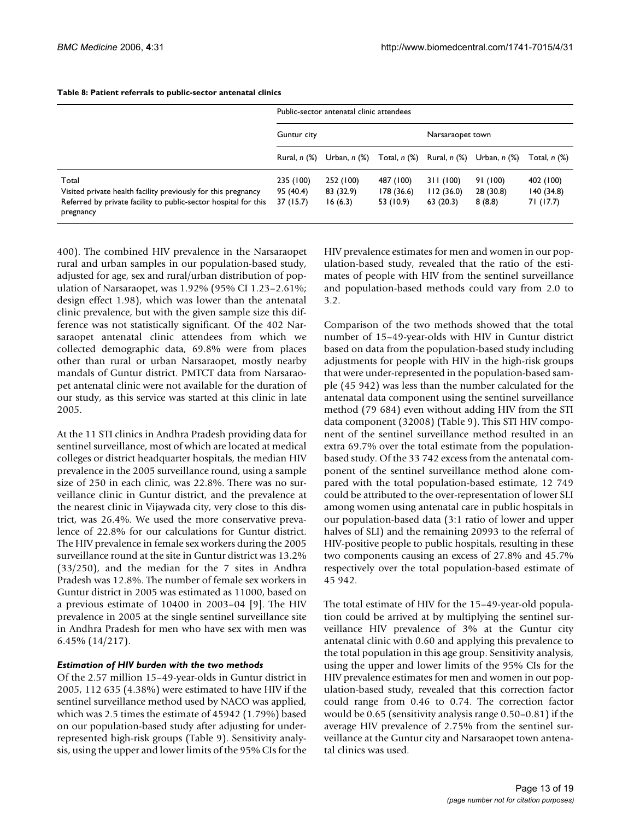| Table 8: Patient referrals to public-sector antenatal clinics |  |  |  |
|---------------------------------------------------------------|--|--|--|
|---------------------------------------------------------------|--|--|--|

|                                                                              | Public-sector antenatal clinic attendees |                  |                     |                  |                   |                      |
|------------------------------------------------------------------------------|------------------------------------------|------------------|---------------------|------------------|-------------------|----------------------|
|                                                                              | Guntur city                              |                  |                     | Narsaraopet town |                   |                      |
|                                                                              | Rural, n (%)                             | Urban, $n$ $%$ ) | Total, <i>n</i> (%) | Rural, n (%)     | Urban, $n$ $(\%)$ | Total, <i>n (</i> %) |
| Total                                                                        | 235 (100)                                | 252 (100)        | 487 (100)           | 311 (100)        | 91 (100)          | 402 (100)            |
| Visited private health facility previously for this pregnancy                | 95 (40.4)                                | 83 (32.9)        | 178 (36.6)          | 112(36.0)        | 28 (30.8)         | 140 (34.8)           |
| Referred by private facility to public-sector hospital for this<br>pregnancy | 37 (15.7)                                | 16(6.3)          | 53 (10.9)           | 63(20.3)         | 8(8.8)            | 71 (17.7)            |

400). The combined HIV prevalence in the Narsaraopet rural and urban samples in our population-based study, adjusted for age, sex and rural/urban distribution of population of Narsaraopet, was 1.92% (95% CI 1.23–2.61%; design effect 1.98), which was lower than the antenatal clinic prevalence, but with the given sample size this difference was not statistically significant. Of the 402 Narsaraopet antenatal clinic attendees from which we collected demographic data, 69.8% were from places other than rural or urban Narsaraopet, mostly nearby mandals of Guntur district. PMTCT data from Narsaraopet antenatal clinic were not available for the duration of our study, as this service was started at this clinic in late 2005.

At the 11 STI clinics in Andhra Pradesh providing data for sentinel surveillance, most of which are located at medical colleges or district headquarter hospitals, the median HIV prevalence in the 2005 surveillance round, using a sample size of 250 in each clinic, was 22.8%. There was no surveillance clinic in Guntur district, and the prevalence at the nearest clinic in Vijaywada city, very close to this district, was 26.4%. We used the more conservative prevalence of 22.8% for our calculations for Guntur district. The HIV prevalence in female sex workers during the 2005 surveillance round at the site in Guntur district was 13.2% (33/250), and the median for the 7 sites in Andhra Pradesh was 12.8%. The number of female sex workers in Guntur district in 2005 was estimated as 11000, based on a previous estimate of 10400 in 2003–04 [9]. The HIV prevalence in 2005 at the single sentinel surveillance site in Andhra Pradesh for men who have sex with men was 6.45% (14/217).

### *Estimation of HIV burden with the two methods*

Of the 2.57 million 15–49-year-olds in Guntur district in 2005, 112 635 (4.38%) were estimated to have HIV if the sentinel surveillance method used by NACO was applied, which was 2.5 times the estimate of 45942 (1.79%) based on our population-based study after adjusting for underrepresented high-risk groups (Table 9). Sensitivity analysis, using the upper and lower limits of the 95% CIs for the HIV prevalence estimates for men and women in our population-based study, revealed that the ratio of the estimates of people with HIV from the sentinel surveillance and population-based methods could vary from 2.0 to 3.2.

Comparison of the two methods showed that the total number of 15–49-year-olds with HIV in Guntur district based on data from the population-based study including adjustments for people with HIV in the high-risk groups that were under-represented in the population-based sample (45 942) was less than the number calculated for the antenatal data component using the sentinel surveillance method (79 684) even without adding HIV from the STI data component (32008) (Table 9). This STI HIV component of the sentinel surveillance method resulted in an extra 69.7% over the total estimate from the populationbased study. Of the 33 742 excess from the antenatal component of the sentinel surveillance method alone compared with the total population-based estimate, 12 749 could be attributed to the over-representation of lower SLI among women using antenatal care in public hospitals in our population-based data (3:1 ratio of lower and upper halves of SLI) and the remaining 20993 to the referral of HIV-positive people to public hospitals, resulting in these two components causing an excess of 27.8% and 45.7% respectively over the total population-based estimate of 45 942.

The total estimate of HIV for the 15–49-year-old population could be arrived at by multiplying the sentinel surveillance HIV prevalence of 3% at the Guntur city antenatal clinic with 0.60 and applying this prevalence to the total population in this age group. Sensitivity analysis, using the upper and lower limits of the 95% CIs for the HIV prevalence estimates for men and women in our population-based study, revealed that this correction factor could range from 0.46 to 0.74. The correction factor would be 0.65 (sensitivity analysis range 0.50–0.81) if the average HIV prevalence of 2.75% from the sentinel surveillance at the Guntur city and Narsaraopet town antenatal clinics was used.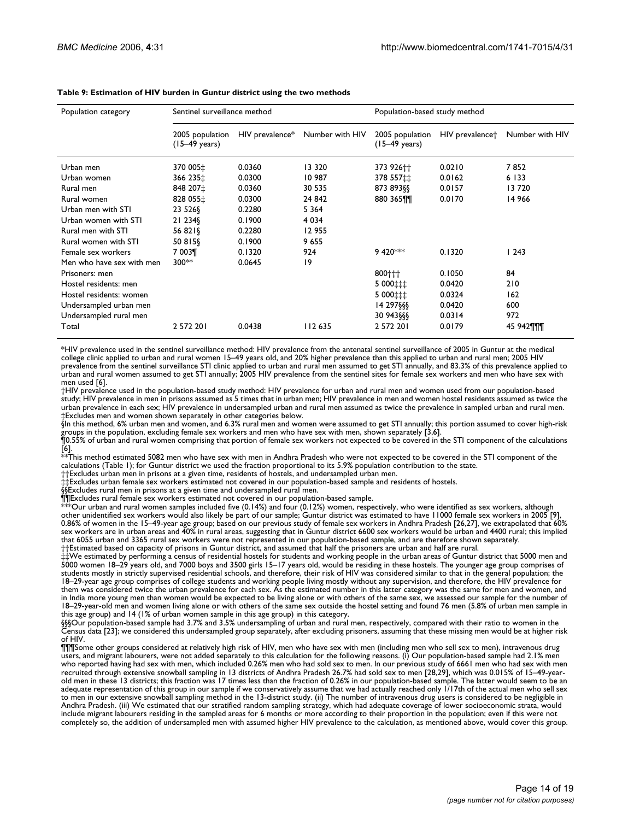| Population category       | Sentinel surveillance method               |                 |                 | Population-based study method              |                 |                 |  |
|---------------------------|--------------------------------------------|-----------------|-----------------|--------------------------------------------|-----------------|-----------------|--|
|                           | 2005 population<br>$(15-49 \text{ years})$ | HIV prevalence* | Number with HIV | 2005 population<br>$(15-49 \text{ years})$ | HIV prevalencet | Number with HIV |  |
| Urban men                 | 370 005±                                   | 0.0360          | 13 3 20         | 373 926++                                  | 0.0210          | 7852            |  |
| Urban women               | 366 235‡                                   | 0.0300          | 10 987          | 378 557 ± ±                                | 0.0162          | 6 1 3 3         |  |
| Rural men                 | 848 207 ±                                  | 0.0360          | 30 535          | 873 89366                                  | 0.0157          | 13720           |  |
| Rural women               | 828 055 ±                                  | 0.0300          | 24 842          | 880 365¶¶                                  | 0.0170          | 14 966          |  |
| Urban men with STI        | 23 5 26 \$                                 | 0.2280          | 5 3 6 4         |                                            |                 |                 |  |
| Urban women with STI      | 21 234 \$                                  | 0.1900          | 4 0 3 4         |                                            |                 |                 |  |
| Rural men with STI        | 56 8216                                    | 0.2280          | 12955           |                                            |                 |                 |  |
| Rural women with STI      | 50 8156                                    | 0.1900          | 9655            |                                            |                 |                 |  |
| Female sex workers        | 7 003¶                                     | 0.1320          | 924             | $9.420***$                                 | 0.1320          | 1243            |  |
| Men who have sex with men | $300**$                                    | 0.0645          | 19              |                                            |                 |                 |  |
| Prisoners: men            |                                            |                 |                 | 800+++                                     | 0.1050          | 84              |  |
| Hostel residents: men     |                                            |                 |                 | 5 000 ‡‡‡                                  | 0.0420          | 210             |  |
| Hostel residents: women   |                                            |                 |                 | 5 000 ‡‡‡                                  | 0.0324          | 162             |  |
| Undersampled urban men    |                                            |                 |                 | 14 297 \$                                  | 0.0420          | 600             |  |
| Undersampled rural men    |                                            |                 |                 | 30 943 66                                  | 0.0314          | 972             |  |
| Total                     | 2 572 201                                  | 0.0438          | 112 635         | 2 572 201                                  | 0.0179          | 45 942¶¶        |  |

#### **Table 9: Estimation of HIV burden in Guntur district using the two methods**

\*HIV prevalence used in the sentinel surveillance method: HIV prevalence from the antenatal sentinel surveillance of 2005 in Guntur at the medical college clinic applied to urban and rural women 15–49 years old, and 20% higher prevalence than this applied to urban and rural men; 2005 HIV prevalence from the sentinel surveillance STI clinic applied to urban and rural men assumed to get STI annually, and 83.3% of this prevalence applied to<br>urban and rural women assumed to get STI annually; 2005 HIV prevalenc men used [6].

†HIV prevalence used in the population-based study method: HIV prevalence for urban and rural men and women used from our population-based study; HIV prevalence in men in prisons assumed as 5 times that in urban men; HIV prevalence in men and women hostel residents assumed as twice the urban prevalence in each sex; HIV prevalence in undersampled urban and rural men assumed as twice the prevalence in sampled urban and rural men. ‡Excludes men and women shown separately in other categories below.

§In this method, 6% urban men and women, and 6.3% rural men and women were assumed to get STI annually; this portion assumed to cover high-risk groups in the population, excluding female sex workers and men who have sex with men, shown separately [3,6].<br>¶0.55% of urban and rural women comprising that portion of female sex workers not expected to be covered in the

[6].

\*\*This method estimated 5082 men who have sex with men in Andhra Pradesh who were not expected to be covered in the STI component of the calculations (Table 1); for Guntur district we used the fraction proportional to its 5.9% population contribution to the state.<br>††Excludes urban men in prisons at a given time, residents of hostels, and undersampled urban

‡‡Excludes urban female sex workers estimated not covered in our population-based sample and residents of hostels.

§§Excludes rural men in prisons at a given time and undersampled rural men.

¶¶Excludes rural female sex workers estimated not covered in our population-based sample.

\*\*\*Our urban and rural women samples included five (0.14%) and four (0.12%) women, respectively, who were identified as sex workers, although other unidentified sex workers would also likely be part of our sample; Guntur district was estimated to have 11000 female sex workers in 2005 [9], 0.86% of women in the 15–49-year age group; based on our previous study of female sex workers in Andhra Pradesh [26,27], we extrapolated that 60%<br>sex workers are in urban areas and 40% in rural areas, suggesting that in Gu that 6055 urban and 3365 rural sex workers were not represented in our population-based sample, and are therefore shown separately.

††Estimated based on capacity of prisons in Guntur district, and assumed that half the prisoners are urban and half are rural.

‡‡We estimated by performing a census of residential hostels for students and working people in the urban areas of Guntur district that 5000 men and 5000 women 18–29 years old, and 7000 boys and 3500 girls 15–17 years old, would be residing in these hostels. The younger age group comprises of students mostly in strictly supervised residential schools, and therefore, their risk of HIV was considered similar to that in the general population; the 18–29-year age group comprises of college students and working people living mostly without any supervision, and therefore, the HIV prevalence for them was considered twice the urban prevalence for each sex. As the estimated number in this latter category was the same for men and women, and in India more young men than women would be expected to be living alone or with others of the same sex, we assessed our sample for the number of 18–29-year-old men and women living alone or with others of the same sex outside the hostel setting and found 76 men (5.8% of urban men sample in this age group) and 14 (1% of urban women sample in this age group) in this category.

§§§Our population-based sample had 3.7% and 3.5% undersampling of urban and rural men, respectively, compared with their ratio to women in the<br>Census data [23]; we considered this undersampled group separately, after exclu of HIV.

¶¶¶Some other groups considered at relatively high risk of HIV, men who have sex with men (including men who sell sex to men), intravenous drug<br>users, and migrant labourers, were not added separately to this calculation fo who reported having had sex with men, which included 0.26% men who had sold sex to men. In our previous study of 6661 men who had sex with men recruited through extensive snowball sampling in 13 districts of Andhra Pradesh 26.7% had sold sex to men [28,29], which was 0.015% of 15–49-year-<br>old men in these 13 districts; this fraction was 17 times less than the fra adequate representation of this group in our sample if we conservatively assume that we had actually reached only 1/17th of the actual men who sell sex to men in our extensive snowball sampling method in the 13-district study. (ii) The number of intravenous drug users is considered to be negligible in Andhra Pradesh. (iii) We estimated that our stratified random sampling strategy, which had adequate coverage of lower socioeconomic strata, would<br>include migrant labourers residing in the sampled areas for 6 months or more completely so, the addition of undersampled men with assumed higher HIV prevalence to the calculation, as mentioned above, would cover this group.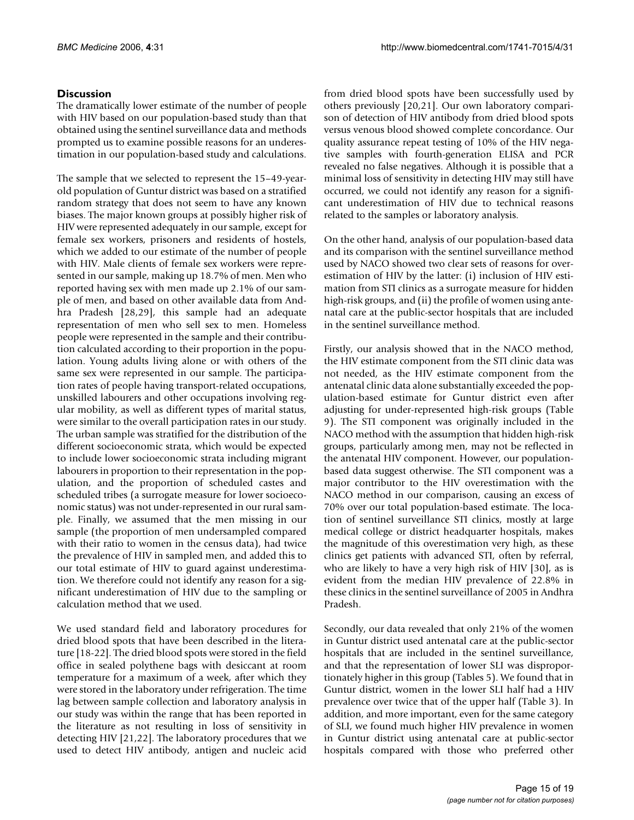# **Discussion**

The dramatically lower estimate of the number of people with HIV based on our population-based study than that obtained using the sentinel surveillance data and methods prompted us to examine possible reasons for an underestimation in our population-based study and calculations.

The sample that we selected to represent the 15–49-yearold population of Guntur district was based on a stratified random strategy that does not seem to have any known biases. The major known groups at possibly higher risk of HIV were represented adequately in our sample, except for female sex workers, prisoners and residents of hostels, which we added to our estimate of the number of people with HIV. Male clients of female sex workers were represented in our sample, making up 18.7% of men. Men who reported having sex with men made up 2.1% of our sample of men, and based on other available data from Andhra Pradesh [28,29], this sample had an adequate representation of men who sell sex to men. Homeless people were represented in the sample and their contribution calculated according to their proportion in the population. Young adults living alone or with others of the same sex were represented in our sample. The participation rates of people having transport-related occupations, unskilled labourers and other occupations involving regular mobility, as well as different types of marital status, were similar to the overall participation rates in our study. The urban sample was stratified for the distribution of the different socioeconomic strata, which would be expected to include lower socioeconomic strata including migrant labourers in proportion to their representation in the population, and the proportion of scheduled castes and scheduled tribes (a surrogate measure for lower socioeconomic status) was not under-represented in our rural sample. Finally, we assumed that the men missing in our sample (the proportion of men undersampled compared with their ratio to women in the census data), had twice the prevalence of HIV in sampled men, and added this to our total estimate of HIV to guard against underestimation. We therefore could not identify any reason for a significant underestimation of HIV due to the sampling or calculation method that we used.

We used standard field and laboratory procedures for dried blood spots that have been described in the literature [18-22]. The dried blood spots were stored in the field office in sealed polythene bags with desiccant at room temperature for a maximum of a week, after which they were stored in the laboratory under refrigeration. The time lag between sample collection and laboratory analysis in our study was within the range that has been reported in the literature as not resulting in loss of sensitivity in detecting HIV [21,22]. The laboratory procedures that we used to detect HIV antibody, antigen and nucleic acid

from dried blood spots have been successfully used by others previously [20,21]. Our own laboratory comparison of detection of HIV antibody from dried blood spots versus venous blood showed complete concordance. Our quality assurance repeat testing of 10% of the HIV negative samples with fourth-generation ELISA and PCR revealed no false negatives. Although it is possible that a minimal loss of sensitivity in detecting HIV may still have occurred, we could not identify any reason for a significant underestimation of HIV due to technical reasons related to the samples or laboratory analysis.

On the other hand, analysis of our population-based data and its comparison with the sentinel surveillance method used by NACO showed two clear sets of reasons for overestimation of HIV by the latter: (i) inclusion of HIV estimation from STI clinics as a surrogate measure for hidden high-risk groups, and (ii) the profile of women using antenatal care at the public-sector hospitals that are included in the sentinel surveillance method.

Firstly, our analysis showed that in the NACO method, the HIV estimate component from the STI clinic data was not needed, as the HIV estimate component from the antenatal clinic data alone substantially exceeded the population-based estimate for Guntur district even after adjusting for under-represented high-risk groups (Table 9). The STI component was originally included in the NACO method with the assumption that hidden high-risk groups, particularly among men, may not be reflected in the antenatal HIV component. However, our populationbased data suggest otherwise. The STI component was a major contributor to the HIV overestimation with the NACO method in our comparison, causing an excess of 70% over our total population-based estimate. The location of sentinel surveillance STI clinics, mostly at large medical college or district headquarter hospitals, makes the magnitude of this overestimation very high, as these clinics get patients with advanced STI, often by referral, who are likely to have a very high risk of HIV [30], as is evident from the median HIV prevalence of 22.8% in these clinics in the sentinel surveillance of 2005 in Andhra Pradesh.

Secondly, our data revealed that only 21% of the women in Guntur district used antenatal care at the public-sector hospitals that are included in the sentinel surveillance, and that the representation of lower SLI was disproportionately higher in this group (Tables 5). We found that in Guntur district, women in the lower SLI half had a HIV prevalence over twice that of the upper half (Table 3). In addition, and more important, even for the same category of SLI, we found much higher HIV prevalence in women in Guntur district using antenatal care at public-sector hospitals compared with those who preferred other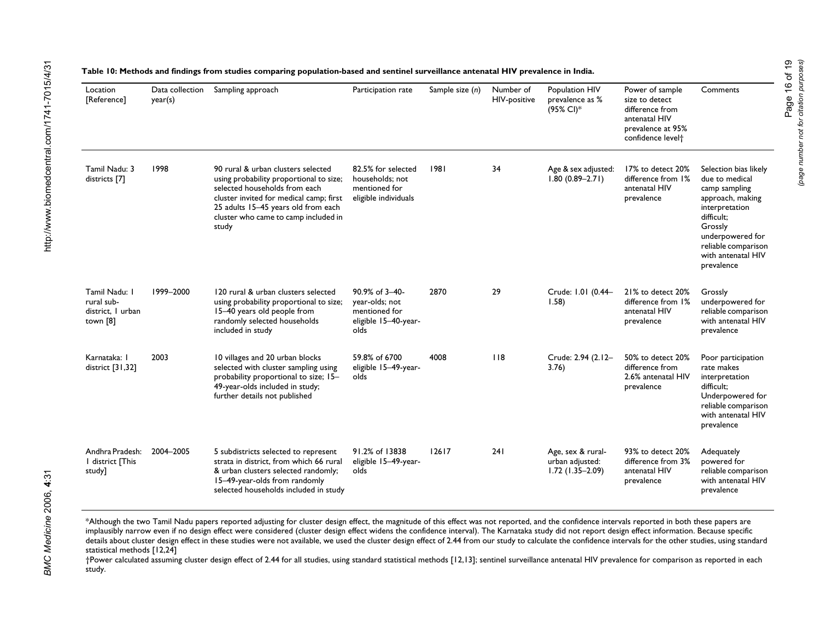| Location<br>[Reference]                                        | Data collection<br>year(s) | Sampling approach                                                                                                                                                                                                                                 | Participation rate                                                                | Sample size (n) | Number of<br>HIV-positive | Population HIV<br>prevalence as %<br>$(95\% \text{ Cl})^*$  | Power of sample<br>size to detect<br>difference from<br>antenatal HIV<br>prevalence at 95%<br>confidence level <sup>+</sup> | Comments                                                                                                                                                                                               |
|----------------------------------------------------------------|----------------------------|---------------------------------------------------------------------------------------------------------------------------------------------------------------------------------------------------------------------------------------------------|-----------------------------------------------------------------------------------|-----------------|---------------------------|-------------------------------------------------------------|-----------------------------------------------------------------------------------------------------------------------------|--------------------------------------------------------------------------------------------------------------------------------------------------------------------------------------------------------|
| Tamil Nadu: 3<br>districts [7]                                 | 1998                       | 90 rural & urban clusters selected<br>using probability proportional to size;<br>selected households from each<br>cluster invited for medical camp; first<br>25 adults 15-45 years old from each<br>cluster who came to camp included in<br>study | 82.5% for selected<br>households; not<br>mentioned for<br>eligible individuals    | 1981            | 34                        | Age & sex adjusted:<br>$1.80(0.89 - 2.71)$                  | 17% to detect 20%<br>difference from 1%<br>antenatal HIV<br>prevalence                                                      | Selection bias likely<br>due to medical<br>camp sampling<br>approach, making<br>interpretation<br>difficult;<br>Grossly<br>underpowered for<br>reliable comparison<br>with antenatal HIV<br>prevalence |
| Tamil Nadu: I<br>rural sub-<br>district, I urban<br>town $[8]$ | 1999-2000                  | 120 rural & urban clusters selected<br>using probability proportional to size;<br>15-40 years old people from<br>randomly selected households<br>included in study                                                                                | 90.9% of 3-40-<br>year-olds; not<br>mentioned for<br>eligible 15-40-year-<br>olds | 2870            | 29                        | Crude: 1.01 (0.44-<br>1.58)                                 | 21% to detect 20%<br>difference from 1%<br>antenatal HIV<br>prevalence                                                      | Grossly<br>underpowered for<br>reliable comparison<br>with antenatal HIV<br>prevalence                                                                                                                 |
| Karnataka: I<br>district [31,32]                               | 2003                       | 10 villages and 20 urban blocks<br>selected with cluster sampling using<br>probability proportional to size; 15-<br>49-year-olds included in study;<br>further details not published                                                              | 59.8% of 6700<br>eligible 15-49-year-<br>olds                                     | 4008            | $ $  8                    | Crude: 2.94 (2.12-<br>3.76)                                 | 50% to detect 20%<br>difference from<br>2.6% antenatal HIV<br>prevalence                                                    | Poor participation<br>rate makes<br>interpretation<br>difficult:<br>Underpowered for<br>reliable comparison<br>with antenatal HIV<br>prevalence                                                        |
| Andhra Pradesh:<br>I district [This<br>study]                  | 2004-2005                  | 5 subdistricts selected to represent<br>strata in district, from which 66 rural<br>& urban clusters selected randomly;<br>15-49-year-olds from randomly<br>selected households included in study                                                  | 91.2% of 13838<br>eligible 15-49-year-<br>olds                                    | 12617           | 241                       | Age, sex & rural-<br>urban adjusted:<br>$1.72(1.35 - 2.09)$ | 93% to detect 20%<br>difference from 3%<br>antenatal HIV<br>prevalence                                                      | Adequately<br>powered for<br>reliable comparison<br>with antenatal HIV<br>prevalence                                                                                                                   |

**Table 10: Methods and findings from studies comparing population-based and sentinel surveillance antenatal HIV prevalence in India.**

\*Although the two Tamil Nadu papers reported adjusting for cluster design effect, the magnitude of this effect was not reported, and the confidence intervals reported in both these papers are implausibly narrow even if no design effect were considered (cluster design effect widens the confidence interval). The Karnataka study did not report design effect information. Because specific details about cluster design effect in these studies were not available, we used the cluster design effect of 2.44 from our study to calculate the confidence intervals for the other studies, using standard details about cl statistical methods [12,24]

†Power calculated assuming cluster design effect of 2.44 for all studies, using standard statistical methods [12,13]; sentinel surveillance antenatal HIV prevalence for comparison as reported in each study.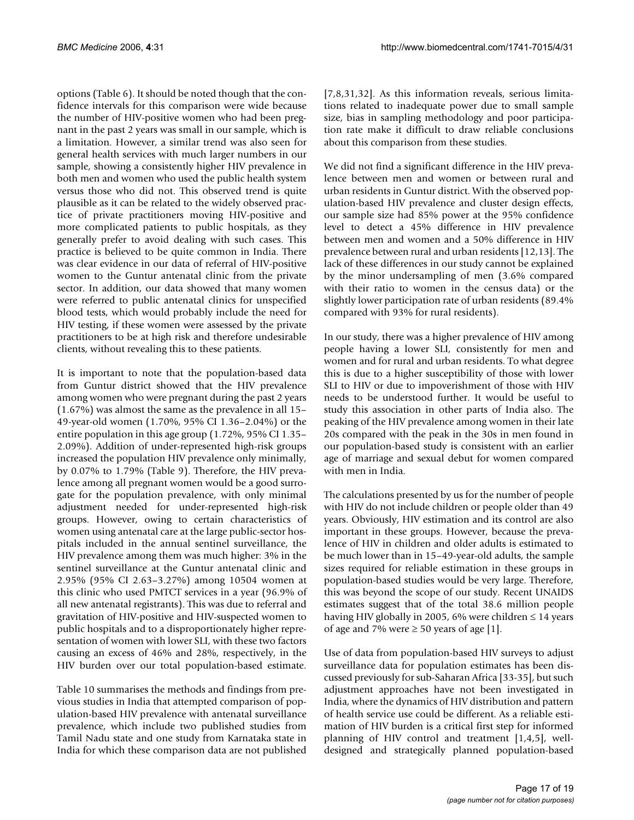options (Table 6). It should be noted though that the confidence intervals for this comparison were wide because the number of HIV-positive women who had been pregnant in the past 2 years was small in our sample, which is a limitation. However, a similar trend was also seen for general health services with much larger numbers in our sample, showing a consistently higher HIV prevalence in both men and women who used the public health system versus those who did not. This observed trend is quite plausible as it can be related to the widely observed practice of private practitioners moving HIV-positive and more complicated patients to public hospitals, as they generally prefer to avoid dealing with such cases. This practice is believed to be quite common in India. There was clear evidence in our data of referral of HIV-positive women to the Guntur antenatal clinic from the private sector. In addition, our data showed that many women were referred to public antenatal clinics for unspecified blood tests, which would probably include the need for HIV testing, if these women were assessed by the private practitioners to be at high risk and therefore undesirable clients, without revealing this to these patients.

It is important to note that the population-based data from Guntur district showed that the HIV prevalence among women who were pregnant during the past 2 years (1.67%) was almost the same as the prevalence in all 15– 49-year-old women (1.70%, 95% CI 1.36–2.04%) or the entire population in this age group (1.72%, 95% CI 1.35– 2.09%). Addition of under-represented high-risk groups increased the population HIV prevalence only minimally, by 0.07% to 1.79% (Table 9). Therefore, the HIV prevalence among all pregnant women would be a good surrogate for the population prevalence, with only minimal adjustment needed for under-represented high-risk groups. However, owing to certain characteristics of women using antenatal care at the large public-sector hospitals included in the annual sentinel surveillance, the HIV prevalence among them was much higher: 3% in the sentinel surveillance at the Guntur antenatal clinic and 2.95% (95% CI 2.63–3.27%) among 10504 women at this clinic who used PMTCT services in a year (96.9% of all new antenatal registrants). This was due to referral and gravitation of HIV-positive and HIV-suspected women to public hospitals and to a disproportionately higher representation of women with lower SLI, with these two factors causing an excess of 46% and 28%, respectively, in the HIV burden over our total population-based estimate.

Table 10 summarises the methods and findings from previous studies in India that attempted comparison of population-based HIV prevalence with antenatal surveillance prevalence, which include two published studies from Tamil Nadu state and one study from Karnataka state in India for which these comparison data are not published

[7,8,31,32]. As this information reveals, serious limitations related to inadequate power due to small sample size, bias in sampling methodology and poor participation rate make it difficult to draw reliable conclusions about this comparison from these studies.

We did not find a significant difference in the HIV prevalence between men and women or between rural and urban residents in Guntur district. With the observed population-based HIV prevalence and cluster design effects, our sample size had 85% power at the 95% confidence level to detect a 45% difference in HIV prevalence between men and women and a 50% difference in HIV prevalence between rural and urban residents [12,13]. The lack of these differences in our study cannot be explained by the minor undersampling of men (3.6% compared with their ratio to women in the census data) or the slightly lower participation rate of urban residents (89.4% compared with 93% for rural residents).

In our study, there was a higher prevalence of HIV among people having a lower SLI, consistently for men and women and for rural and urban residents. To what degree this is due to a higher susceptibility of those with lower SLI to HIV or due to impoverishment of those with HIV needs to be understood further. It would be useful to study this association in other parts of India also. The peaking of the HIV prevalence among women in their late 20s compared with the peak in the 30s in men found in our population-based study is consistent with an earlier age of marriage and sexual debut for women compared with men in India.

The calculations presented by us for the number of people with HIV do not include children or people older than 49 years. Obviously, HIV estimation and its control are also important in these groups. However, because the prevalence of HIV in children and older adults is estimated to be much lower than in 15–49-year-old adults, the sample sizes required for reliable estimation in these groups in population-based studies would be very large. Therefore, this was beyond the scope of our study. Recent UNAIDS estimates suggest that of the total 38.6 million people having HIV globally in 2005, 6% were children  $\leq$  14 years of age and 7% were  $\geq 50$  years of age [1].

Use of data from population-based HIV surveys to adjust surveillance data for population estimates has been discussed previously for sub-Saharan Africa [33-35], but such adjustment approaches have not been investigated in India, where the dynamics of HIV distribution and pattern of health service use could be different. As a reliable estimation of HIV burden is a critical first step for informed planning of HIV control and treatment [1,4,5], welldesigned and strategically planned population-based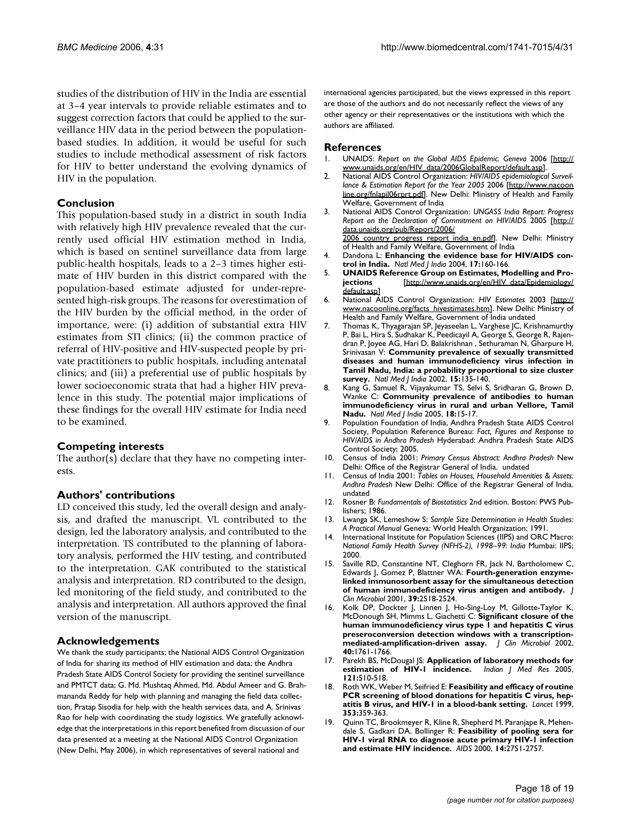studies of the distribution of HIV in the India are essential at 3–4 year intervals to provide reliable estimates and to suggest correction factors that could be applied to the surveillance HIV data in the period between the populationbased studies. In addition, it would be useful for such studies to include methodical assessment of risk factors for HIV to better understand the evolving dynamics of HIV in the population.

# **Conclusion**

This population-based study in a district in south India with relatively high HIV prevalence revealed that the currently used official HIV estimation method in India, which is based on sentinel surveillance data from large public-health hospitals, leads to a 2–3 times higher estimate of HIV burden in this district compared with the population-based estimate adjusted for under-represented high-risk groups. The reasons for overestimation of the HIV burden by the official method, in the order of importance, were: (i) addition of substantial extra HIV estimates from STI clinics; (ii) the common practice of referral of HIV-positive and HIV-suspected people by private practitioners to public hospitals, including antenatal clinics; and (iii) a preferential use of public hospitals by lower socioeconomic strata that had a higher HIV prevalence in this study. The potential major implications of these findings for the overall HIV estimate for India need to be examined.

### **Competing interests**

The author(s) declare that they have no competing interests.

### **Authors' contributions**

LD conceived this study, led the overall design and analysis, and drafted the manuscript. VL contributed to the design, led the laboratory analysis, and contributed to the interpretation. TS contributed to the planning of laboratory analysis, performed the HIV testing, and contributed to the interpretation. GAK contributed to the statistical analysis and interpretation. RD contributed to the design, led monitoring of the field study, and contributed to the analysis and interpretation. All authors approved the final version of the manuscript.

# **Acknowledgements**

We thank the study participants; the National AIDS Control Organization of India for sharing its method of HIV estimation and data; the Andhra Pradesh State AIDS Control Society for providing the sentinel surveillance and PMTCT data; G. Md. Mushtaq Ahmed, Md. Abdul Ameer and G. Brahmananda Reddy for help with planning and managing the field data collection, Pratap Sisodia for help with the health services data, and A. Srinivas Rao for help with coordinating the study logistics. We gratefully acknowledge that the interpretations in this report benefited from discussion of our data presented at a meeting at the National AIDS Control Organization (New Delhi, May 2006), in which representatives of several national and

international agencies participated, but the views expressed in this report are those of the authors and do not necessarily reflect the views of any other agency or their representatives or the institutions with which the authors are affiliated.

#### **References**

- 1. UNAIDS: *Report on the Global AIDS Epidemic. Geneva* 2006 [\[http://](http://www.unaids.org/en/HIV_data/2006GlobalReport/default.asp) [www.unaids.org/en/HIV\\_data/2006GlobalReport/default.asp](http://www.unaids.org/en/HIV_data/2006GlobalReport/default.asp)
- 2. National AIDS Control Organization: *HIV/AIDS epidemiological Surveillance & Estimation Report for the Year 2005* 2006 [[http://www.nacoon](http://www.nacoonline.org/fnlapil06rprt.pdf) [line.org/fnlapil06rprt.pdf\]](http://www.nacoonline.org/fnlapil06rprt.pdf). New Delhi: Ministry of Health and Family Welfare, Government of India
- 3. National AIDS Control Organization: *UNGASS India Report: Progress Report on the Declaration of Commitment on HIV/AIDS* 2005 [\[http://](http://data.unaids.org/pub/Report/2006/2006_country_progress_report_india_en.pdf) [data.unaids.org/pub/Report/2006/](http://data.unaids.org/pub/Report/2006/2006_country_progress_report_india_en.pdf)
	- 2006 country progress report india en.pdf]. New Delhi: Ministry of Health and Family Welfare, Government of India
- 4. Dandona L: **[Enhancing the evidence base for HIV/AIDS con](http://www.ncbi.nlm.nih.gov/entrez/query.fcgi?cmd=Retrieve&db=PubMed&dopt=Abstract&list_uids=15253404)[trol in India.](http://www.ncbi.nlm.nih.gov/entrez/query.fcgi?cmd=Retrieve&db=PubMed&dopt=Abstract&list_uids=15253404)** *Natl Med J India* 2004, **17:**160-166.
- 5. **UNAIDS Reference Group on Estimates, Modelling and Projections** [\[http://www.unaids.org/en/HIV\\_data/Epidemiology/](http://www.unaids.org/en/HIV_data/Epidemiology/default.asp) [default.asp](http://www.unaids.org/en/HIV_data/Epidemiology/default.asp)]
- 6. National AIDS Control Organization: *HIV Estimates* 2003 [\[http://](http://www.nacoonline.org/facts_hivestimates.htm) [www.nacoonline.org/facts\\_hivestimates.htm](http://www.nacoonline.org/facts_hivestimates.htm)]. New Delhi: Ministry of Health and Family Welfare, Government of India undated
- 7. Thomas K, Thyagarajan SP, Jeyaseelan L, Varghese JC, Krishnamurthy P, Bai L, Hira S, Sudhakar K, Peedicayil A, George S, George R, Rajendran P, Joyee AG, Hari D, Balakrishnan , Sethuraman N, Gharpure H, Srinivasan V: **[Community prevalence of sexually transmitted](http://www.ncbi.nlm.nih.gov/entrez/query.fcgi?cmd=Retrieve&db=PubMed&dopt=Abstract&list_uids=12186325) [diseases and human immunodeficiency virus infection in](http://www.ncbi.nlm.nih.gov/entrez/query.fcgi?cmd=Retrieve&db=PubMed&dopt=Abstract&list_uids=12186325) Tamil Nadu, India: a probability proportional to size cluster [survey.](http://www.ncbi.nlm.nih.gov/entrez/query.fcgi?cmd=Retrieve&db=PubMed&dopt=Abstract&list_uids=12186325)** *Natl Med J India* 2002, **15:**135-140.
- 8. Kang G, Samuel R, Vijayakumar TS, Selvi S, Sridharan G, Brown D, Wanke C: **[Community prevalence of antibodies to human](http://www.ncbi.nlm.nih.gov/entrez/query.fcgi?cmd=Retrieve&db=PubMed&dopt=Abstract&list_uids=15835485) [immunodeficiency virus in rural and urban Vellore, Tamil](http://www.ncbi.nlm.nih.gov/entrez/query.fcgi?cmd=Retrieve&db=PubMed&dopt=Abstract&list_uids=15835485) [Nadu.](http://www.ncbi.nlm.nih.gov/entrez/query.fcgi?cmd=Retrieve&db=PubMed&dopt=Abstract&list_uids=15835485)** *Natl Med J India* 2005, **18:**15-17.
- 9. Population Foundation of India, Andhra Pradesh State AIDS Control Society, Population Reference Bureau: *Fact, Figures and Response to HIV/AIDS in Andhra Pradesh* Hyderabad: Andhra Pradesh State AIDS Control Society; 2005.
- 10. Census of India 2001: *Primary Census Abstract: Andhra Pradesh* New Delhi: Office of the Registrar General of India. undated
- 11. Census of India 2001: *Tables on Houses, Household Amenities & Assets: Andhra Pradesh* New Delhi: Office of the Registrar General of India. undated
- 12. Rosner B: *Fundamentals of Biostatistics* 2nd edition. Boston: PWS Publishers; 1986.
- 13. Lwanga SK, Lemeshow S: *Sample Size Determination in Health Studies: A Practical Manual* Geneva: World Health Organization; 1991.
- 14. International Institute for Population Sciences (IIPS) and ORC Macro: *National Family Health Survey (NFHS-2), 1998–99: India* Mumbai: IIPS; 2000.
- 15. Saville RD, Constantine NT, Cleghorn FR, Jack N, Bartholomew C, Edwards J, Gomez P, Blattner WA: **[Fourth-generation enzyme](http://www.ncbi.nlm.nih.gov/entrez/query.fcgi?cmd=Retrieve&db=PubMed&dopt=Abstract&list_uids=11427563)[linked immunosorbent assay for the simultaneous detection](http://www.ncbi.nlm.nih.gov/entrez/query.fcgi?cmd=Retrieve&db=PubMed&dopt=Abstract&list_uids=11427563) [of human immunodeficiency virus antigen and antibody.](http://www.ncbi.nlm.nih.gov/entrez/query.fcgi?cmd=Retrieve&db=PubMed&dopt=Abstract&list_uids=11427563)** *J Clin Microbiol* 2001, **39:**2518-2524.
- 16. Kolk DP, Dockter J, Linnen J, Ho-Sing-Loy M, Gillotte-Taylor K, McDonough SH, Mimms L, Giachetti C: **[Significant closure of the](http://www.ncbi.nlm.nih.gov/entrez/query.fcgi?cmd=Retrieve&db=PubMed&dopt=Abstract&list_uids=11980957) [human immunodeficiency virus type 1 and hepatitis C virus](http://www.ncbi.nlm.nih.gov/entrez/query.fcgi?cmd=Retrieve&db=PubMed&dopt=Abstract&list_uids=11980957) preseroconversion detection windows with a transcription[mediated-amplification-driven assay.](http://www.ncbi.nlm.nih.gov/entrez/query.fcgi?cmd=Retrieve&db=PubMed&dopt=Abstract&list_uids=11980957)** *J Clin Microbiol* 2002, **40:**1761-1766.
- 17. Parekh BS, McDougal JS: **[Application of laboratory methods for](http://www.ncbi.nlm.nih.gov/entrez/query.fcgi?cmd=Retrieve&db=PubMed&dopt=Abstract&list_uids=15817960) [estimation of HIV-1 incidence.](http://www.ncbi.nlm.nih.gov/entrez/query.fcgi?cmd=Retrieve&db=PubMed&dopt=Abstract&list_uids=15817960)** *Indian J Med Res* 2005, **121:**510-518.
- 18. Roth WK, Weber M, Seifried E: **[Feasibility and efficacy of routine](http://www.ncbi.nlm.nih.gov/entrez/query.fcgi?cmd=Retrieve&db=PubMed&dopt=Abstract&list_uids=9950441) [PCR screening of blood donations for hepatitis C virus, hep](http://www.ncbi.nlm.nih.gov/entrez/query.fcgi?cmd=Retrieve&db=PubMed&dopt=Abstract&list_uids=9950441)[atitis B virus, and HIV-1 in a blood-bank setting.](http://www.ncbi.nlm.nih.gov/entrez/query.fcgi?cmd=Retrieve&db=PubMed&dopt=Abstract&list_uids=9950441)** *Lancet* 1999, **353:**359-363.
- 19. Quinn TC, Brookmeyer R, Kline R, Shepherd M, Paranjape R, Mehendale S, Gadkari DA, Bollinger R: **[Feasibility of pooling sera for](http://www.ncbi.nlm.nih.gov/entrez/query.fcgi?cmd=Retrieve&db=PubMed&dopt=Abstract&list_uids=11125894) [HIV-1 viral RNA to diagnose acute primary HIV-1 infection](http://www.ncbi.nlm.nih.gov/entrez/query.fcgi?cmd=Retrieve&db=PubMed&dopt=Abstract&list_uids=11125894) [and estimate HIV incidence.](http://www.ncbi.nlm.nih.gov/entrez/query.fcgi?cmd=Retrieve&db=PubMed&dopt=Abstract&list_uids=11125894)** *AIDS* 2000, **14:**2751-2757.